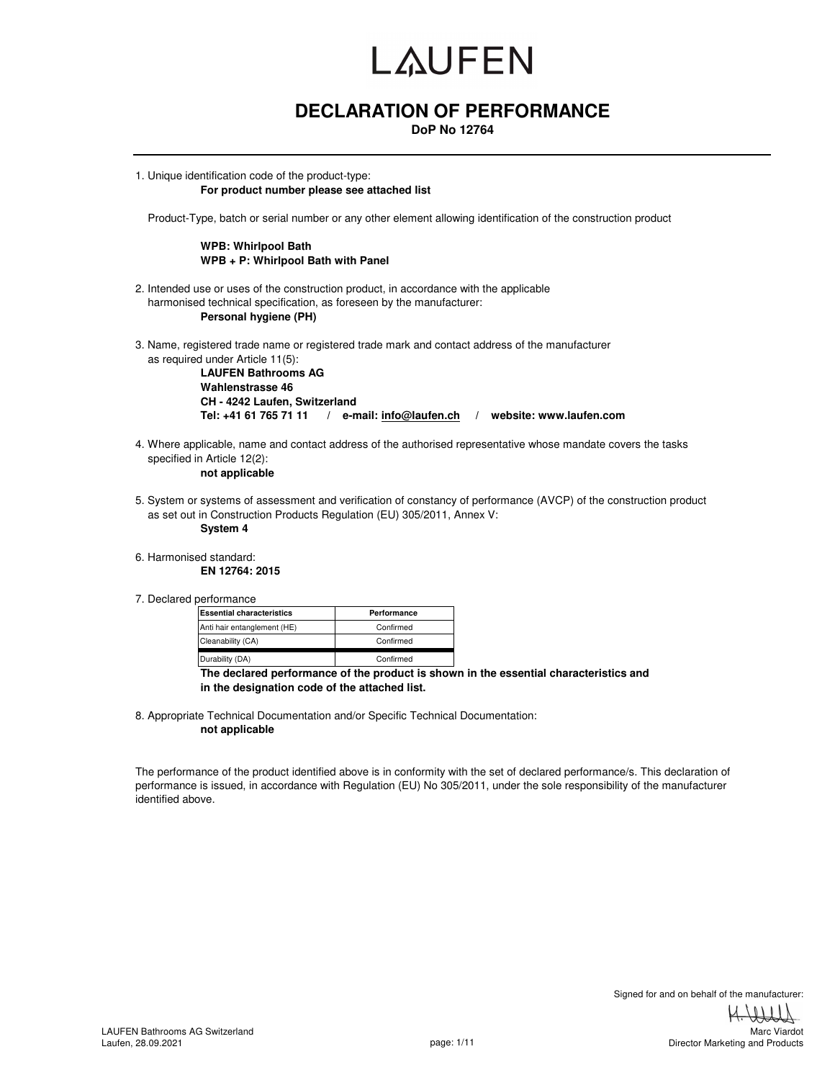#### **DECLARATION OF PERFORMANCE**

**DoP No 12764**

1. Unique identification code of the product-type: **For product number please see attached list** 

Product-Type, batch or serial number or any other element allowing identification of the construction product

#### **WPB: Whirlpool Bath WPB + P: Whirlpool Bath with Panel**

- 2. Intended use or uses of the construction product, in accordance with the applicable harmonised technical specification, as foreseen by the manufacturer: **Personal hygiene (PH)**
- 3. Name, registered trade name or registered trade mark and contact address of the manufacturer as required under Article 11(5):

**LAUFEN Bathrooms AG Wahlenstrasse 46 CH - 4242 Laufen, Switzerland Tel: +41 61 765 71 11 / e-mail: info@laufen.ch / website: www.laufen.com**

4. Where applicable, name and contact address of the authorised representative whose mandate covers the tasks specified in Article 12(2):

**not applicable**

5. System or systems of assessment and verification of constancy of performance (AVCP) of the construction product as set out in Construction Products Regulation (EU) 305/2011, Annex V:

**System 4**

6. Harmonised standard:

**EN 12764: 2015**

7. Declared performance

| <b>Essential characteristics</b> | Performance                                           |  |
|----------------------------------|-------------------------------------------------------|--|
| Anti hair entanglement (HE)      | Confirmed                                             |  |
| Cleanability (CA)                | Confirmed                                             |  |
| Durability (DA)                  | Confirmed                                             |  |
|                                  | The declared performance of the product is shown in t |  |

**he essential characteristics and in the designation code of the attached list.**

8. Appropriate Technical Documentation and/or Specific Technical Documentation: **not applicable**

The performance of the product identified above is in conformity with the set of declared performance/s. This declaration of performance is issued, in accordance with Regulation (EU) No 305/2011, under the sole responsibility of the manufacturer identified above.

Director Marketing and Products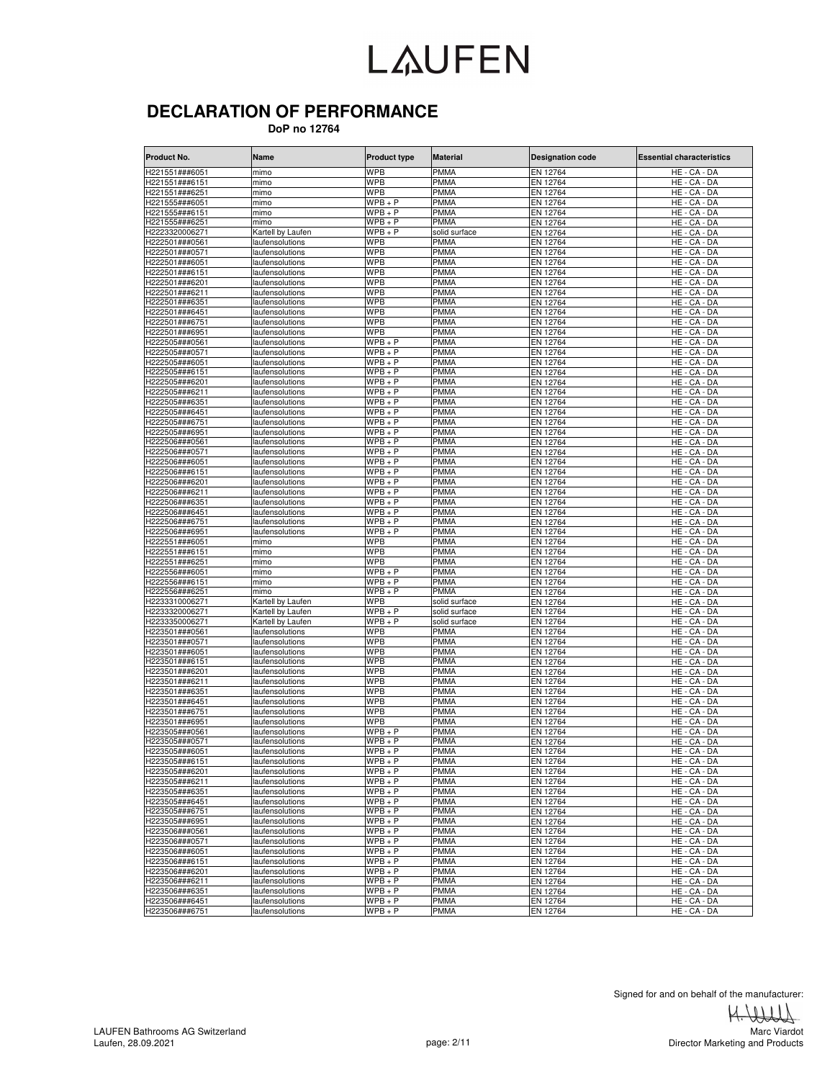#### **DECLARATION OF PERFORMANCE**

 **DoP no 12764**

| Product No.                      | <b>Name</b>                        | <b>Product type</b>      | <b>Material</b>            | <b>Designation code</b> | <b>Essential characteristics</b> |
|----------------------------------|------------------------------------|--------------------------|----------------------------|-------------------------|----------------------------------|
| H221551###6051                   | mimo                               | <b>WPB</b>               | PMMA                       | EN 12764                | HE - CA - DA                     |
| H221551###6151                   | mimo                               | <b>WPB</b>               | <b>PMMA</b>                | EN 12764                | HE - CA - DA                     |
| H221551###6251                   | mimo                               | <b>WPB</b>               | <b>PMMA</b>                | EN 12764                | HE - CA - DA                     |
| H221555###6051                   | mimo                               | $WPB + P$                | <b>PMMA</b>                | EN 12764                | HE - CA - DA                     |
| H221555###6151                   | mimo                               | $WPB + P$                | PMMA                       | EN 12764                | HE - CA - DA                     |
| H221555###6251                   | mimo                               | $WPB + P$                | <b>PMMA</b>                | EN 12764                | HE - CA - DA                     |
| H2223320006271                   | Kartell by Laufen                  | $WPB + P$                | solid surface              | EN 12764                | $HE - CA - DA$                   |
| H222501###0561                   | laufensolutions                    | <b>WPB</b>               | PMMA                       | EN 12764                | HE - CA - DA                     |
| H222501###0571                   | laufensolutions                    | <b>WPB</b>               | <b>PMMA</b>                | EN 12764                | HE - CA - DA                     |
| H222501###6051<br>H222501###6151 | laufensolutions<br>laufensolutions | <b>WPB</b><br><b>WPB</b> | <b>PMMA</b><br><b>PMMA</b> | EN 12764<br>EN 12764    | HE - CA - DA<br>HE - CA - DA     |
| H222501###6201                   | laufensolutions                    | WPB                      | <b>PMMA</b>                | EN 12764                | HE - CA - DA                     |
| H222501###6211                   | laufensolutions                    | <b>WPB</b>               | <b>PMMA</b>                | EN 12764                | HE - CA - DA                     |
| H222501###6351                   | laufensolutions                    | <b>WPB</b>               | <b>PMMA</b>                | EN 12764                | HE - CA - DA                     |
| H222501###6451                   | laufensolutions                    | <b>WPB</b>               | PMMA                       | EN 12764                | HE - CA - DA                     |
| H222501###6751                   | laufensolutions                    | WPB                      | <b>PMMA</b>                | EN 12764                | HE - CA - DA                     |
| H222501###6951                   | laufensolutions                    | WPB                      | PMMA                       | EN 12764                | HE - CA - DA                     |
| H222505###0561                   | laufensolutions                    | $WPB + P$                | <b>PMMA</b>                | EN 12764                | $HE - CA - DA$                   |
| H222505###0571                   | laufensolutions                    | $WPB + P$                | PMMA                       | EN 12764                | HE - CA - DA                     |
| H222505###6051                   | laufensolutions                    | $WPB + P$                | <b>PMMA</b>                | EN 12764                | HE<br>CA - DA                    |
| H222505###6151                   | laufensolutions                    | WPB + P                  | PMMA                       | EN 12764                | HE<br>· CA - DA                  |
| H222505###6201                   | laufensolutions                    | $WPB + P$                | <b>PMMA</b>                | EN 12764                | HE - CA - DA                     |
| H222505###6211                   | laufensolutions                    | $WPB + P$                | PMMA                       | EN 12764                | HE - CA - DA                     |
| H222505###6351                   | laufensolutions                    | $WPB + P$                | <b>PMMA</b>                | EN 12764                | HE - CA - DA                     |
| H222505###6451                   | laufensolutions                    | $WPB + P$                | <b>PMMA</b>                | EN 12764                | HE - CA - DA                     |
| H222505###6751                   | laufensolutions                    | $WPB+P$                  | PMMA                       | EN 12764                | HE - CA - DA                     |
| H222505###6951                   | laufensolutions                    | $WPB + P$                | <b>PMMA</b>                | EN 12764                | HE - CA - DA                     |
| H222506###0561                   | laufensolutions                    | $WPB + P$                | <b>PMMA</b>                | EN 12764                | HE - CA - DA                     |
| H222506###0571                   | laufensolutions                    | $WPB + P$                | <b>PMMA</b>                | EN 12764                | HE - CA - DA                     |
| H222506###6051                   | laufensolutions                    | $WPB + P$                | <b>PMMA</b>                | EN 12764                | HE - CA - DA                     |
| H222506###6151                   | laufensolutions                    | $WPB + P$                | <b>PMMA</b>                | EN 12764                | HE - CA - DA                     |
| H222506###6201                   | laufensolutions                    | $WPB+P$                  | <b>PMMA</b>                | EN 12764                | HE - CA - DA                     |
| H222506###6211                   | laufensolutions                    | $WPB+P$                  | <b>PMMA</b>                | EN 12764                | HE - CA - DA                     |
| H222506###6351                   | laufensolutions                    | $WPB + P$                | <b>PMMA</b>                | EN 12764                | HE - CA - DA                     |
| H222506###6451                   | laufensolutions                    | $WPB + P$                | <b>PMMA</b>                | EN 12764                | HE - CA - DA                     |
| H222506###6751                   | laufensolutions                    | $WPB + P$                | <b>PMMA</b>                | EN 12764                | HE - CA - DA                     |
| H222506###6951<br>H222551###6051 | laufensolutions                    | $WPB + P$                | <b>PMMA</b><br><b>PMMA</b> | EN 12764                | HE - CA - DA                     |
| H222551###6151                   | mimo                               | <b>WPB</b><br><b>WPB</b> | <b>PMMA</b>                | EN 12764<br>EN 12764    | HE.<br>- CA - DA<br>HE - CA - DA |
| H222551###6251                   | mimo<br>mimo                       | <b>WPB</b>               | PMMA                       | EN 12764                | HE.<br>- CA - DA                 |
| 1222556###6051                   | mimo                               | $WPB + P$                | PMMA                       | EN 12764                | HE - CA - DA                     |
| H222556###6151                   | mimo                               | $WPB + P$                | PMMA                       | EN 12764                | HE - CA - DA                     |
| H222556###6251                   | mimo                               | $WPB + P$                | <b>PMMA</b>                | EN 12764                | HE - CA - DA                     |
| H2233310006271                   | Kartell by Laufen                  | <b>WPB</b>               | solid surface              | EN 12764                | HE - CA - DA                     |
| H2233320006271                   | Kartell by Laufen                  | $WPB + P$                | solid surface              | EN 12764                | HE - CA - DA                     |
| H2233350006271                   | Kartell by Laufen                  | $WPB + P$                | solid surface              | EN 12764                | HE - CA - DA                     |
| H223501###0561                   | laufensolutions                    | <b>WPB</b>               | PMMA                       | EN 12764                | HE - CA - DA                     |
| H223501###0571                   | laufensolutions                    | <b>WPB</b>               | <b>PMMA</b>                | EN 12764                | HE - CA - DA                     |
| H223501###6051                   | laufensolutions                    | <b>WPB</b>               | <b>PMMA</b>                | EN 12764                | HE - CA - DA                     |
| H223501###6151                   | laufensolutions                    | <b>WPB</b>               | <b>PMMA</b>                | EN 12764                | HE - CA - DA                     |
| H223501###6201                   | laufensolutions                    | <b>WPB</b>               | PMMA                       | EN 12764                | HE - CA - DA                     |
| H223501###6211                   | laufensolutions                    | <b>WPB</b>               | <b>PMMA</b>                | EN 12764                | $HE - CA - DA$                   |
| H223501###6351                   | laufensolutions                    | WPB                      | <b>PMMA</b>                | EN 12764                | HE - CA - DA                     |
| H223501###6451                   | laufensolutions                    | <b>WPB</b>               | <b>PMMA</b>                | EN 12764                | HE - CA - DA                     |
| H223501###6751                   | laufensolutions                    | <b>WPB</b>               | PMMA                       | EN 12764                | HE - CA - DA                     |
| H223501###6951                   | laufensolutions                    | <b>WPB</b>               | <b>PMMA</b>                | EN 12764                | HE - CA - DA                     |
| H223505###0561                   | laufensolutions                    | $WPB + P$                | PMMA                       | EN 12764                | $HE - CA - DA$                   |
| H223505###0571                   | laufensolutions                    | WPB + P                  | PMMA                       | EN 12764                | HE - CA - DA                     |
| H223505###6051                   | laufensolutions                    | WPB + P                  | PMMA                       | EN 12764                | HE - CA - DA                     |
| H223505###6151<br>H223505###6201 | laufensolutions<br>laufensolutions | WPB + P<br>$WPB + P$     | PMMA<br><b>PMMA</b>        | EN 12764<br>EN 12764    | HE - CA - DA<br>HE - CA - DA     |
| H223505###6211                   | laufensolutions                    | $WPB + P$                | PMMA                       | EN 12764                | HE - CA - DA                     |
| H223505###6351                   | laufensolutions                    | $WPB + P$                | PMMA                       | EN 12764                | HE - CA - DA                     |
| H223505###6451                   | laufensolutions                    | $WPB + P$                | <b>PMMA</b>                | EN 12764                | HE - CA - DA                     |
| H223505###6751                   | laufensolutions                    | $WPB + P$                | PMMA                       | EN 12764                | HE - CA - DA                     |
| H223505###6951                   | laufensolutions                    | $WPB + P$                | PMMA                       | EN 12764                | HE - CA - DA                     |
| H223506###0561                   | laufensolutions                    | $WPB + P$                | PMMA                       | EN 12764                | HE - CA - DA                     |
| H223506###0571                   | laufensolutions                    | $WPB + P$                | <b>PMMA</b>                | EN 12764                | HE - CA - DA                     |
| H223506###6051                   | laufensolutions                    | $WPB + P$                | PMMA                       | EN 12764                | HE - CA - DA                     |
| H223506###6151                   | laufensolutions                    | $WPB + P$                | <b>PMMA</b>                | EN 12764                | HE - CA - DA                     |
| H223506###6201                   | laufensolutions                    | $WPB + P$                | PMMA                       | EN 12764                | HE - CA - DA                     |
| H223506###6211                   | laufensolutions                    | $WPB + P$                | <b>PMMA</b>                | EN 12764                | HE - CA - DA                     |
| H223506###6351                   | laufensolutions                    | $WPB + P$                | PMMA                       | EN 12764                | HE - CA - DA                     |
| H223506###6451                   | laufensolutions                    | $WPB + P$                | <b>PMMA</b>                | EN 12764                | HE - CA - DA                     |
| H223506###6751                   | laufensolutions                    | $WPB + P$                | <b>PMMA</b>                | EN 12764                | HE - CA - DA                     |

Signed for and on behalf of the manufacturer:<br> $\leftarrow$ 

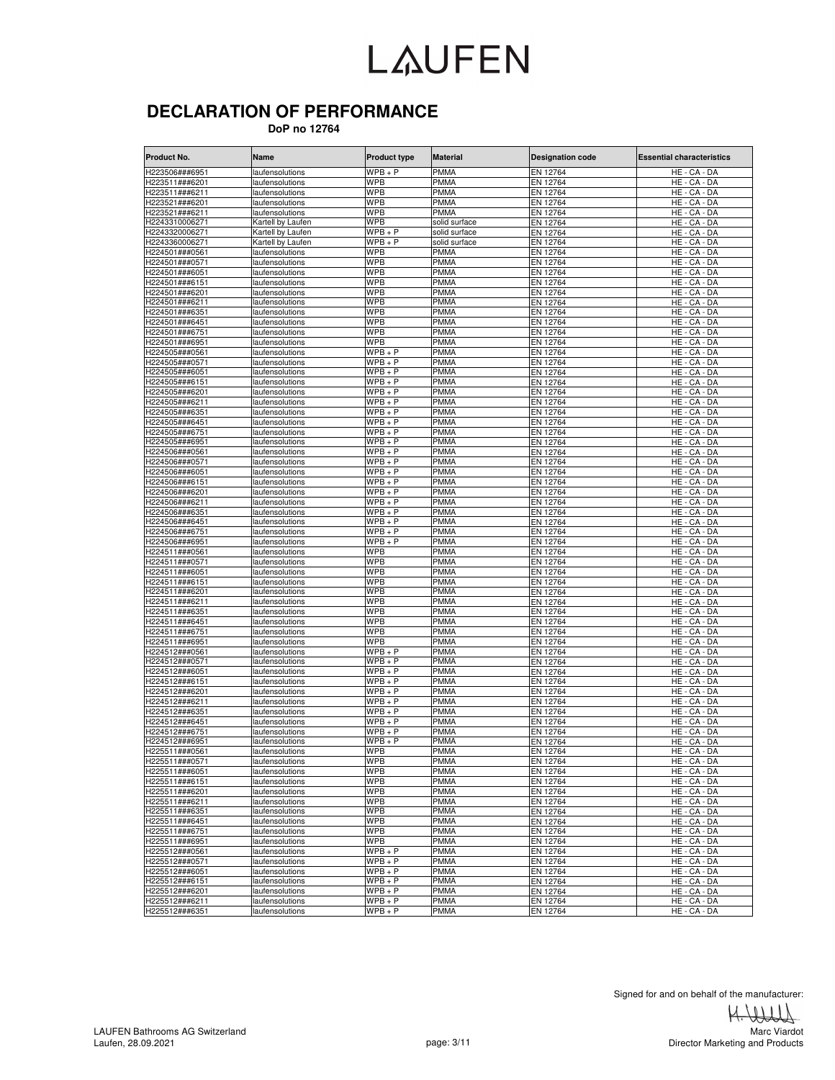#### **DECLARATION OF PERFORMANCE**

 **DoP no 12764**

| Product No.                      | Name                                | <b>Product type</b>          | <b>Material</b>              | <b>Designation code</b> | Essential characteristics    |
|----------------------------------|-------------------------------------|------------------------------|------------------------------|-------------------------|------------------------------|
| H223506###6951                   | laufensolutions                     | $WPB + P$                    | <b>PMMA</b>                  | EN 12764                | HE - CA - DA                 |
| H223511###6201                   | laufensolutions                     | <b>WPB</b>                   | <b>PMMA</b>                  | EN 12764                | HE - CA - DA                 |
| H223511###6211                   | laufensolutions                     | <b>WPB</b>                   | <b>PMMA</b>                  | EN 12764                | HE - CA - DA                 |
| H223521###6201                   | laufensolutions                     | <b>WPB</b>                   | <b>PMMA</b>                  | EN 12764                | HE - CA - DA                 |
| H223521###6211                   | laufensolutions                     | <b>WPB</b>                   | <b>PMMA</b>                  | EN 12764                | HE - CA - DA                 |
| H2243310006271                   | Kartell by Laufen                   | <b>WPB</b>                   | solid surface                | EN 12764                | HE - CA - DA                 |
| H2243320006271                   | Kartell by Laufen                   | $WPB + P$                    | solid surface                | EN 12764                | HE - CA - DA                 |
| H2243360006271<br>H224501###0561 | Kartell by Laufen<br>aufensolutions | $WPB + P$<br><b>WPB</b>      | solid surface<br><b>PMMA</b> | EN 12764<br>EN 12764    | HE - CA - DA<br>HE - CA - DA |
| H224501###0571                   | laufensolutions                     | <b>WPB</b>                   | <b>PMMA</b>                  | EN 12764                | HE - CA - DA                 |
| H224501###6051                   | laufensolutions                     | <b>WPB</b>                   | <b>PMMA</b>                  | EN 12764                | HE - CA - DA                 |
| H224501###6151                   | laufensolutions                     | <b>WPB</b>                   | <b>PMMA</b>                  | EN 12764                | HE<br>CA - DA                |
| H224501###6201                   | aufensolutions                      | <b>WPB</b>                   | <b>PMMA</b>                  | EN 12764                | HE - CA - DA                 |
| H224501###6211                   | laufensolutions                     | <b>WPB</b>                   | <b>PMMA</b>                  | EN 12764                | HE - CA - DA                 |
| H224501###6351                   | laufensolutions                     | <b>WPB</b>                   | <b>PMMA</b>                  | EN 12764                | HE - CA - DA                 |
| H224501###6451                   | laufensolutions                     | <b>WPB</b>                   | <b>PMMA</b>                  | EN 12764                | HE - CA - DA                 |
| H224501###6751                   | laufensolutions                     | <b>WPB</b>                   | <b>PMMA</b>                  | EN 12764                | HE - CA - DA                 |
| H224501###6951                   | laufensolutions                     | <b>WPB</b>                   | <b>PMMA</b>                  | EN 12764                | HE - CA - DA                 |
| H224505###0561                   | laufensolutions                     | $\overline{\text{W}}$ PB + P | <b>PMMA</b>                  | EN 12764                | HE - CA - DA                 |
| H224505###0571                   | laufensolutions                     | $WPB + P$                    | <b>PMMA</b>                  | EN 12764                | HE - CA - DA                 |
| H224505###6051                   | laufensolutions                     | $WPB + P$                    | <b>PMMA</b>                  | EN 12764                | HE - CA - DA                 |
| H224505###6151                   | aufensolutions                      | $WPB + P$                    | <b>PMMA</b>                  | EN 12764                | HE - CA - DA                 |
| H224505###6201<br>H224505###6211 | laufensolutions                     | $WPB + P$<br>$WPB + P$       | <b>PMMA</b><br><b>PMMA</b>   | EN 12764<br>EN 12764    | HE - CA - DA<br>HE - CA - DA |
| H224505###6351                   | laufensolutions                     | $WPB + P$                    | <b>PMMA</b>                  | EN 12764                | HE - CA - DA                 |
| H224505###6451                   | laufensolutions<br>laufensolutions  | $WPB + P$                    | <b>PMMA</b>                  | EN 12764                | HE - CA - DA                 |
| H224505###6751                   | laufensolutions                     | $WPB+P$                      | <b>PMMA</b>                  | EN 12764                | HE - CA - DA                 |
| H224505###6951                   | laufensolutions                     | $WPB + P$                    | <b>PMMA</b>                  | EN 12764                | HE - CA - DA                 |
| H224506###0561                   | laufensolutions                     | $WPB + P$                    | <b>PMMA</b>                  | EN 12764                | HE - CA - DA                 |
| H224506###0571                   | laufensolutions                     | $WPB + P$                    | PMMA                         | EN 12764                | HE - CA - DA                 |
| H224506###6051                   | laufensolutions                     | $WPB + P$                    | <b>PMMA</b>                  | EN 12764                | HE - CA - DA                 |
| H224506###6151                   | laufensolutions                     | $WPB + P$                    | <b>PMMA</b>                  | EN 12764                | HE - CA - DA                 |
| H224506###6201                   | laufensolutions                     | $WPB + P$                    | <b>PMMA</b>                  | EN 12764                | HE - CA - DA                 |
| H224506###6211                   | aufensolutions                      | $WPB + P$                    | <b>PMMA</b>                  | EN 12764                | HE - CA - DA                 |
| H224506###6351                   | aufensolutions                      | $WPB + P$                    | <b>PMMA</b>                  | EN 12764                | HE-<br>CA - DA               |
| H224506###6451                   | aufensolutions                      | $WPB+P$                      | PMMA                         | EN 12764                | HE - CA - DA                 |
| H224506###6751                   | laufensolutions                     | $WPB + P$                    | <b>PMMA</b>                  | EN 12764                | HE - CA - DA                 |
| H224506###6951                   | aufensolutions                      | $WPB + P$                    | <b>PMMA</b>                  | EN 12764                | HE - CA - DA                 |
| H224511###0561                   | laufensolutions                     | <b>WPB</b><br><b>WPB</b>     | <b>PMMA</b><br><b>PMMA</b>   | EN 12764                | HE - CA - DA                 |
| H224511###0571<br>H224511###6051 | laufensolutions<br>laufensolutions  | <b>WPB</b>                   | <b>PMMA</b>                  | EN 12764<br>EN 12764    | HE - CA - DA<br>HE - CA - DA |
| H224511###6151                   | laufensolutions                     | <b>WPB</b>                   | <b>PMMA</b>                  | EN 12764                | HE - CA - DA                 |
| H224511###6201                   | laufensolutions                     | <b>WPB</b>                   | <b>PMMA</b>                  | EN 12764                | HE - CA - DA                 |
| H224511###6211                   | laufensolutions                     | <b>WPB</b>                   | <b>PMMA</b>                  | EN 12764                | HE - CA - DA                 |
| H224511###6351                   | laufensolutions                     | <b>WPB</b>                   | <b>PMMA</b>                  | EN 12764                | HE - CA - DA                 |
| H224511###6451                   | laufensolutions                     | <b>WPB</b>                   | <b>PMMA</b>                  | EN 12764                | HE - CA - DA                 |
| H224511###6751                   | laufensolutions                     | <b>WPB</b>                   | <b>PMMA</b>                  | EN 12764                | HE - CA - DA                 |
| H224511###6951                   | laufensolutions                     | WPB                          | <b>PMMA</b>                  | EN 12764                | HE-<br>CA - DA               |
| H224512###0561                   | laufensolutions                     | $WPB + P$                    | <b>PMMA</b>                  | EN 12764                | HE - CA - DA                 |
| H224512###0571                   | laufensolutions                     | $WPB + P$                    | <b>PMMA</b>                  | EN 12764                | HE - CA - DA                 |
| H224512###6051                   | laufensolutions                     | $WPB + P$                    | <b>PMMA</b>                  | EN 12764                | HE - CA - DA                 |
| H224512###6151                   | laufensolutions                     | $WPB + P$                    | <b>PMMA</b>                  | EN 12764                | HE - CA - DA                 |
| H224512###6201                   | laufensolutions                     | $WPB + P$                    | <b>PMMA</b>                  | EN 12764                | HE - CA - DA                 |
| H224512###6211                   | laufensolutions                     | $WPB + P$                    | <b>PMMA</b>                  | EN 12764                | HE - CA - DA                 |
| H224512###6351                   | laufensolutions                     | $WPB + P$                    | PMMA                         | EN 12764                | HE - CA - DA                 |
| H224512###6451<br>H224512###6751 | laufensolutions                     | $WPB + P$<br>$WPB + P$       | <b>PMMA</b><br>PMMA          | EN 12764<br>EN 12764    | HE - CA - DA<br>HE - CA - DA |
| H224512###6951                   | laufensolutions<br>laufensolutions  | $WPB + P$                    | <b>PMMA</b>                  | EN 12764                | HE - CA - DA                 |
| H225511###0561                   | laufensolutions                     | WPB                          | <b>PMMA</b>                  | EN 12764                | HE - CA - DA                 |
| H225511###0571                   | laufensolutions                     | WPB                          | <b>PMMA</b>                  | EN 12764                | HE - CA - DA                 |
| H225511###6051                   | laufensolutions                     | <b>WPB</b>                   | <b>PMMA</b>                  | EN 12764                | HE - CA - DA                 |
| H225511###6151                   | laufensolutions                     | <b>WPB</b>                   | <b>PMMA</b>                  | EN 12764                | HE - CA - DA                 |
| H225511###6201                   | laufensolutions                     | <b>WPB</b>                   | <b>PMMA</b>                  | EN 12764                | HE - CA - DA                 |
| H225511###6211                   | laufensolutions                     | <b>WPB</b>                   | <b>PMMA</b>                  | EN 12764                | HE - CA - DA                 |
| H225511###6351                   | laufensolutions                     | <b>WPB</b>                   | <b>PMMA</b>                  | EN 12764                | HE - CA - DA                 |
| H225511###6451                   | laufensolutions                     | <b>WPB</b>                   | <b>PMMA</b>                  | EN 12764                | HE - CA - DA                 |
| H225511###6751                   | laufensolutions                     | <b>WPB</b>                   | <b>PMMA</b>                  | EN 12764                | HE - CA - DA                 |
| H225511###6951                   | laufensolutions                     | <b>WPB</b>                   | <b>PMMA</b>                  | EN 12764                | HE - CA - DA                 |
| H225512###0561                   | laufensolutions                     | $\overline{W}PB + P$         | <b>PMMA</b>                  | EN 12764                | HE - CA - DA                 |
| H225512###0571                   | laufensolutions                     | $WPB + P$                    | <b>PMMA</b>                  | EN 12764                | HE - CA - DA                 |
| H225512###6051                   | laufensolutions                     | $WPB + P$                    | <b>PMMA</b>                  | EN 12764                | HE - CA - DA                 |
| H225512###6151                   | laufensolutions                     | $WPB + P$                    | <b>PMMA</b>                  | EN 12764                | HE - CA - DA                 |
| H225512###6201                   | laufensolutions                     | $WPB + P$                    | <b>PMMA</b>                  | EN 12764                | HE - CA - DA                 |
| H225512###6211                   | laufensolutions                     | $WPB + P$                    | <b>PMMA</b>                  | EN 12764                | HE - CA - DA                 |
| H225512###6351                   | laufensolutions                     | $WPB + P$                    | <b>PMMA</b>                  | EN 12764                | HE - CA - DA                 |

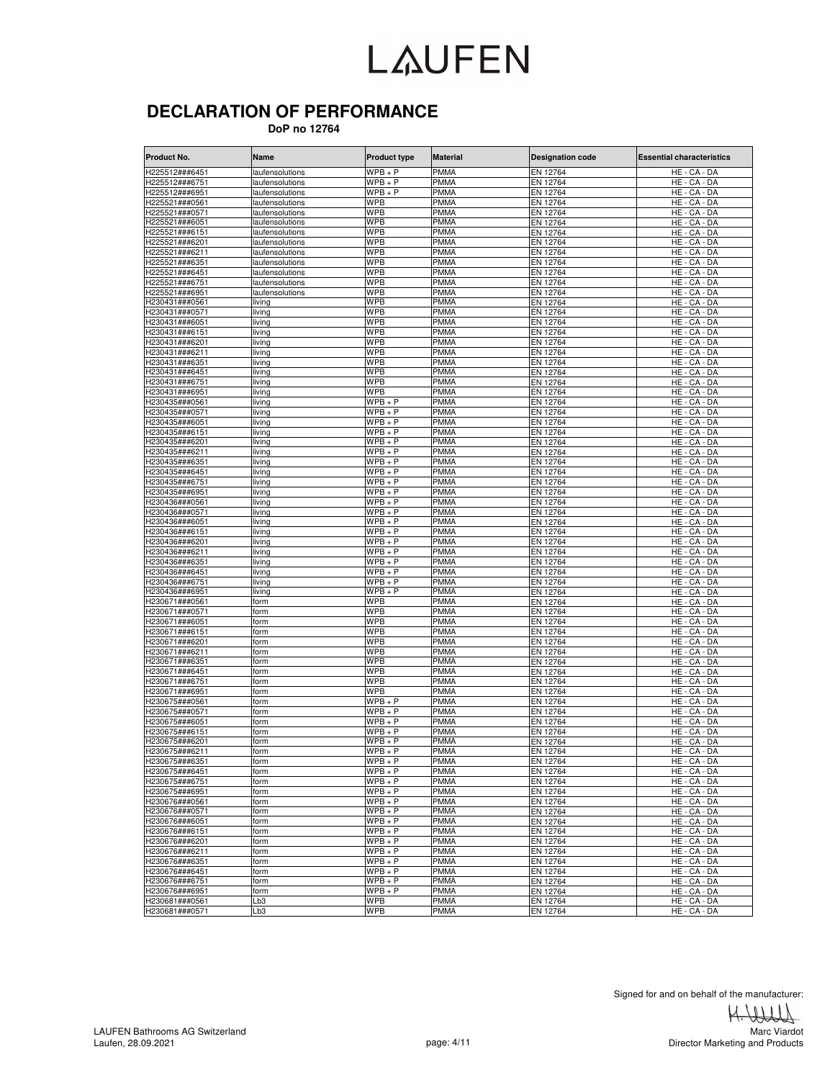#### **DECLARATION OF PERFORMANCE**

 **DoP no 12764**

| Product No.                      | Name                              | <b>Product type</b>      | <b>Material</b>            | <b>Designation code</b> | Essential characteristics      |
|----------------------------------|-----------------------------------|--------------------------|----------------------------|-------------------------|--------------------------------|
| H225512###6451                   | laufensolutions                   | $WPB + P$                | <b>PMMA</b>                | EN 12764                | HE - CA - DA                   |
| H225512###6751                   | laufensolutions                   | $WPB + P$                | <b>PMMA</b>                | EN 12764                | HE - CA - DA                   |
| H225512###6951                   | laufensolutions                   | $WPB + P$                | <b>PMMA</b>                | EN 12764                | HE - CA - DA                   |
| H225521###0561                   | laufensolutions                   | <b>WPB</b>               | <b>PMMA</b>                | EN 12764                | HE - CA - DA                   |
| H225521###0571                   | laufensolutions                   | <b>WPB</b>               | <b>PMMA</b>                | EN 12764                | HE - CA - DA                   |
| H225521###6051                   | laufensolutions                   | <b>WPB</b>               | <b>PMMA</b>                | EN 12764                | HE - CA - DA                   |
| H225521###6151                   | laufensolutions                   | <b>WPB</b>               | <b>PMMA</b>                | EN 12764                | HE - CA - DA                   |
| H225521###6201<br>H225521###6211 | laufensolutions<br>aufensolutions | <b>WPB</b><br><b>WPB</b> | <b>PMMA</b><br><b>PMMA</b> | EN 12764<br>EN 12764    | HE - CA - DA<br>HE - CA - DA   |
| H225521###6351                   | aufensolutions                    | <b>WPB</b>               | <b>PMMA</b>                | EN 12764                | HE - CA - DA                   |
| H225521###6451                   | aufensolutions                    | <b>WPB</b>               | <b>PMMA</b>                | EN 12764                | HE - CA - DA                   |
| H225521###6751                   | laufensolutions                   | WPB                      | <b>PMMA</b>                | EN 12764                | HE<br>CA - DA                  |
| H225521###6951                   | aufensolutions                    | <b>WPB</b>               | <b>PMMA</b>                | EN 12764                | HE - CA - DA                   |
| H230431###0561                   | living                            | <b>WPB</b>               | <b>PMMA</b>                | EN 12764                | HE - CA - DA                   |
| H230431###0571                   | living                            | <b>WPB</b>               | <b>PMMA</b>                | EN 12764                | HE - CA - DA                   |
| H230431###6051                   | living                            | <b>WPB</b>               | <b>PMMA</b>                | EN 12764                | HE - CA - DA                   |
| H230431###6151                   | living                            | <b>WPB</b>               | <b>PMMA</b>                | EN 12764                | HE - CA - DA                   |
| H230431###6201                   | living                            | <b>WPB</b>               | <b>PMMA</b>                | EN 12764                | HE - CA - DA                   |
| H230431###6211                   | living                            | <b>WPB</b>               | <b>PMMA</b>                | EN 12764                | HE - CA - DA                   |
| H230431###6351                   | living                            | <b>WPB</b>               | <b>PMMA</b>                | EN 12764                | HE - CA - DA                   |
| H230431###6451                   | living                            | <b>WPB</b>               | <b>PMMA</b>                | EN 12764                | HE - CA - DA                   |
| H230431###6751                   | living                            | <b>WPB</b>               | <b>PMMA</b>                | EN 12764                | HE - CA - DA                   |
| H230431###6951<br>H230435###0561 | living                            | WPB<br>$WPB + P$         | <b>PMMA</b><br><b>PMMA</b> | EN 12764<br>EN 12764    | CA - DA<br>HE-<br>HE - CA - DA |
| H230435###0571                   | living<br>living                  | $WPB + P$                | <b>PMMA</b>                | EN 12764                | HE - CA - DA                   |
| H230435###6051                   | living                            | $WPB + P$                | <b>PMMA</b>                | EN 12764                | HE - CA - DA                   |
| H230435###6151                   | living                            | $WPB + P$                | <b>PMMA</b>                | EN 12764                | HE - CA - DA                   |
| H230435###6201                   | living                            | $WPB + P$                | <b>PMMA</b>                | EN 12764                | HE - CA - DA                   |
| H230435###6211                   | living                            | $WPB + P$                | <b>PMMA</b>                | EN 12764                | HE - CA - DA                   |
| H230435###6351                   | living                            | $WPB + P$                | PMMA                       | EN 12764                | HE - CA - DA                   |
| H230435###6451                   | living                            | $WPB + P$                | <b>PMMA</b>                | EN 12764                | HE - CA - DA                   |
| H230435###6751                   | living                            | $WPB + P$                | <b>PMMA</b>                | EN 12764                | HE - CA - DA                   |
| H230435###6951                   | living                            | $WPB + P$                | <b>PMMA</b>                | EN 12764                | HE - CA - DA                   |
| H230436###0561                   | living                            | $WPB + P$                | <b>PMMA</b>                | EN 12764                | HE - CA - DA                   |
| H230436###0571                   | iving                             | $WPB + P$                | <b>PMMA</b>                | EN 12764                | HE-<br>CA - DA                 |
| H230436###6051                   | living                            | $WPB+P$                  | PMMA                       | EN 12764                | HE - CA - DA                   |
| H230436###6151                   | living                            | $WPB + P$                | <b>PMMA</b>                | EN 12764                | HE - CA - DA                   |
| H230436###6201                   | living                            | $WPB + P$                | <b>PMMA</b>                | EN 12764                | HE - CA - DA                   |
| H230436###6211                   | living                            | $WPB + P$<br>$WPB + P$   | <b>PMMA</b>                | EN 12764                | HE - CA - DA                   |
| H230436###6351<br>H230436###6451 | living<br>living                  | $WPB + P$                | <b>PMMA</b><br><b>PMMA</b> | EN 12764<br>EN 12764    | HE - CA - DA<br>HE - CA - DA   |
| H230436###6751                   | living                            | $WPB + P$                | <b>PMMA</b>                | EN 12764                | HE - CA - DA                   |
| H230436###6951                   | living                            | $WPB + P$                | <b>PMMA</b>                | EN 12764                | HE - CA - DA                   |
| H230671###0561                   | form                              | <b>WPB</b>               | <b>PMMA</b>                | EN 12764                | HE - CA - DA                   |
| H230671###0571                   | form                              | <b>WPB</b>               | <b>PMMA</b>                | EN 12764                | HE - CA - DA                   |
| H230671###6051                   | form                              | <b>WPB</b>               | <b>PMMA</b>                | EN 12764                | HE - CA - DA                   |
| H230671###6151                   | form                              | <b>WPB</b>               | <b>PMMA</b>                | EN 12764                | HE - CA - DA                   |
| H230671###6201                   | form                              | WPB                      | <b>PMMA</b>                | EN 12764                | HE-<br>CA - DA                 |
| H230671###6211                   | form                              | <b>WPB</b>               | <b>PMMA</b>                | EN 12764                | HE - CA - DA                   |
| H230671###6351                   | form                              | <b>WPB</b>               | <b>PMMA</b>                | EN 12764                | HE - CA - DA                   |
| H230671###6451                   | form                              | <b>WPB</b>               | <b>PMMA</b>                | EN 12764                | HE - CA - DA                   |
| H230671###6751                   | form                              | <b>WPB</b>               | <b>PMMA</b>                | EN 12764                | HE - CA - DA                   |
| H230671###6951                   | form                              | <b>WPB</b>               | <b>PMMA</b>                | EN 12764                | HE - CA - DA                   |
| H230675###0561                   | form                              | $WPB + P$                | <b>PMMA</b>                | EN 12764                | HE - CA - DA                   |
| H230675###0571                   | form                              | $WPB + P$                | PMMA                       | EN 12764                | HE - CA - DA                   |
| H230675###6051<br>H230675###6151 | form                              | $WPB + P$<br>$WPB + P$   | <b>PMMA</b><br>PMMA        | EN 12764<br>EN 12764    | HE - CA - DA<br>HE - CA - DA   |
| H230675###6201                   | orm<br>form                       | $WPB + P$                | <b>PMMA</b>                | EN 12764                | HE - CA - DA                   |
| H230675###6211                   | form                              | $WPB + P$                | PMMA                       | EN 12764                | HE - CA - DA                   |
| H230675###6351                   | form                              | $WPB + P$                | <b>PMMA</b>                | EN 12764                | HE - CA - DA                   |
| H230675###6451                   | form                              | $WPB + P$                | <b>PMMA</b>                | EN 12764                | HE - CA - DA                   |
| H230675###6751                   | form                              | $WPB + P$                | <b>PMMA</b>                | EN 12764                | HE - CA - DA                   |
| H230675###6951                   | form                              | $WPB + P$                | <b>PMMA</b>                | EN 12764                | HE - CA - DA                   |
| H230676###0561                   | form                              | $WPB + P$                | <b>PMMA</b>                | EN 12764                | HE - CA - DA                   |
| H230676###0571                   | form                              | $WPB + P$                | <b>PMMA</b>                | EN 12764                | HE - CA - DA                   |
| H230676###6051                   | form                              | $WPB + P$                | <b>PMMA</b>                | EN 12764                | HE - CA - DA                   |
| H230676###6151                   | form                              | $WPB + P$                | <b>PMMA</b>                | EN 12764                | HE - CA - DA                   |
| H230676###6201                   | form                              | $WPB + P$                | <b>PMMA</b>                | EN 12764                | HE - CA - DA                   |
| H230676###6211                   | form                              | $WPB + P$                | <b>PMMA</b>                | EN 12764                | HE - CA - DA                   |
| H230676###6351                   | form                              | $WPB + P$                | <b>PMMA</b>                | EN 12764                | HE - CA - DA                   |
| H230676###6451                   | form                              | $WPB + P$                | <b>PMMA</b>                | EN 12764                | HE - CA - DA                   |
| H230676###6751                   | form                              | $WPB + P$                | <b>PMMA</b>                | EN 12764                | $HE - CA - DA$                 |
| H230676###6951                   | form                              | $WPB + P$                | <b>PMMA</b>                | EN 12764                | HE - CA - DA                   |
| H230681###0561                   | Lb3                               | <b>WPB</b>               | <b>PMMA</b>                | EN 12764                | HE - CA - DA                   |
| H230681###0571                   | Lb3                               | <b>WPB</b>               | <b>PMMA</b>                | EN 12764                | HE - CA - DA                   |

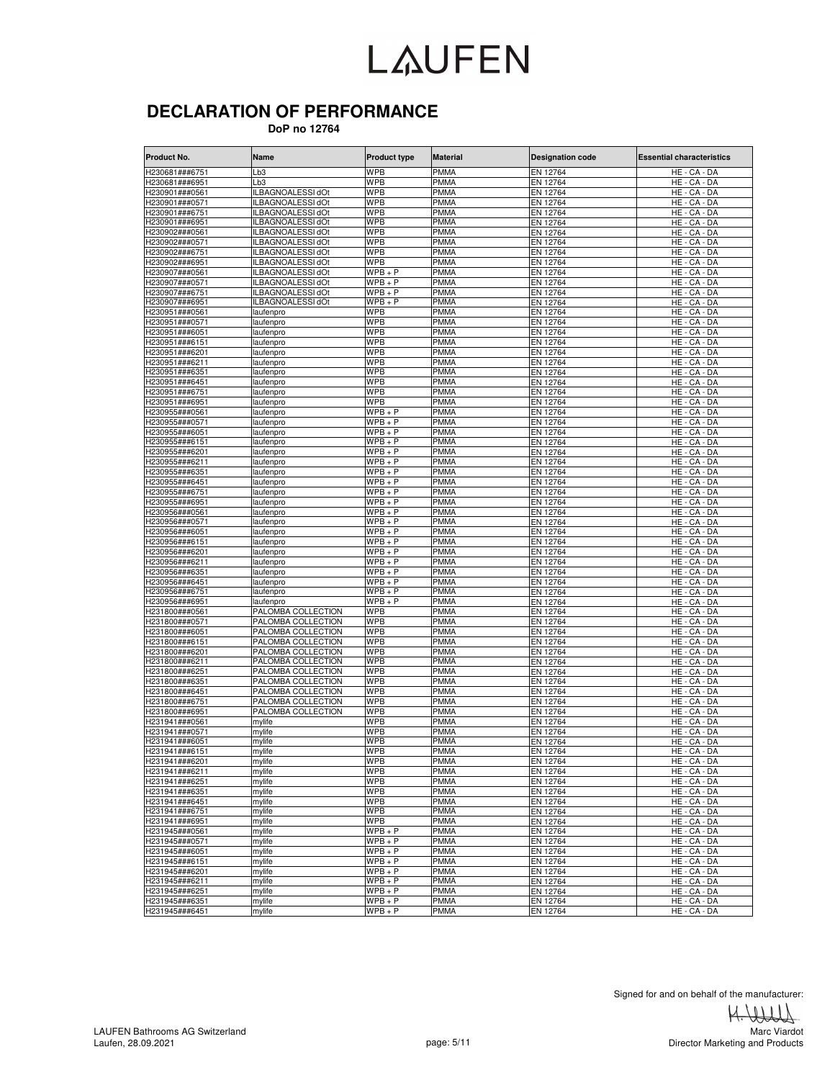#### **DECLARATION OF PERFORMANCE**

 **DoP no 12764**

| Product No.                      | Name               | <b>Product type</b>  | <b>Material</b>     | <b>Designation code</b> | <b>Essential characteristics</b>   |
|----------------------------------|--------------------|----------------------|---------------------|-------------------------|------------------------------------|
| H230681###6751                   | Lb3                | <b>WPB</b>           | <b>PMMA</b>         | EN 12764                | HE - CA - DA                       |
| H230681###6951                   | Lb3                | <b>WPB</b>           | <b>PMMA</b>         | EN 12764                | HE - CA - DA                       |
| H230901###0561                   | ILBAGNOALESSI dOt  | <b>WPB</b>           | PMMA                | EN 12764                | HE - CA - DA                       |
| H230901###0571                   | ILBAGNOALESSI dOt  | WPB                  | <b>PMMA</b>         | EN 12764                | HE - CA - DA                       |
| H230901###6751                   | ILBAGNOALESSI dOt  | <b>WPB</b>           | PMMA                | EN 12764                | HE - CA - DA                       |
| H230901###6951                   | ILBAGNOALESSI dOt  | <b>WPB</b>           | <b>PMMA</b>         | EN 12764                | $\overline{\mathsf{HE}}$ - CA - DA |
| H230902###0561                   | ILBAGNOALESSI dOt  | WPB                  | PMMA                | EN 12764                | HE - CA - DA                       |
| H230902###0571                   | ILBAGNOALESSI dOt  | <b>WPB</b>           | <b>PMMA</b>         | EN 12764                | HE - CA - DA                       |
| H230902###6751                   | ILBAGNOALESSI dOt  | <b>WPB</b>           | PMMA                | EN 12764                | HE - CA - DA                       |
| H230902###6951                   | ILBAGNOALESSI dOt  | <b>WPB</b>           | <b>PMMA</b>         | EN 12764                | HE - CA - DA                       |
| H230907###0561                   | ILBAGNOALESSI dOt  | $WPB + P$            | PMMA                | EN 12764                | HE - CA - DA                       |
| H230907###0571                   | ILBAGNOALESSI dOt  | $WPB + P$            | <b>PMMA</b>         | EN 12764                | HE - CA - DA                       |
| H230907###6751                   | ILBAGNOALESSI dOt  | WPB + P              | <b>PMMA</b>         | EN 12764                | HE - CA - DA                       |
| H230907###6951                   | ILBAGNOALESSI dOt  | $WPB + P$            | <b>PMMA</b>         | EN 12764                | HE - CA - DA                       |
| H230951###0561                   | laufenpro          | <b>WPB</b>           | <b>PMMA</b>         | EN 12764                | HE - CA - DA                       |
| H230951###0571                   | laufenpro          | WPB                  | <b>PMMA</b>         | EN 12764                | HE - CA - DA                       |
| H230951###6051                   | laufenpro          | WPB                  | <b>PMMA</b>         | EN 12764                | HE - CA - DA                       |
| H230951###6151                   | laufenpro          | WPB                  | PMMA                | EN 12764                | HE - CA - DA                       |
| H230951###6201                   | laufenpro          | WPB                  | PMMA                | EN 12764                | HE - CA - DA                       |
| H230951###6211                   | laufenpro          | WPB                  | <b>PMMA</b>         | EN 12764                | HE - CA - DA                       |
|                                  |                    |                      |                     |                         |                                    |
| H230951###6351                   | laufenpro          | WPB<br><b>WPB</b>    | PMMA<br><b>PMMA</b> | EN 12764                | HE - CA - DA                       |
| H230951###6451                   | laufenpro          | <b>WPB</b>           |                     | EN 12764                | HE - CA - DA<br>$HE - CA - DA$     |
| H230951###6751                   | laufenpro          |                      | PMMA                | EN 12764                |                                    |
| H230951###6951                   | laufenpro          | WPB                  | <b>PMMA</b>         | EN 12764                | HE - CA - DA                       |
| H230955###0561                   | laufenpro          | $WPB + P$            | <b>PMMA</b>         | EN 12764                | HE - CA - DA                       |
| H230955###0571                   | laufenpro          | $WPB + P$            | <b>PMMA</b>         | EN 12764                | HE - CA - DA                       |
| H230955###6051                   | laufenpro          | $\overline{W}PB + P$ | <b>PMMA</b>         | EN 12764                | HE - CA - DA                       |
| H230955###6151                   | laufenpro          | $WPB + P$            | PMMA                | EN 12764                | HE - CA - DA                       |
| H230955###6201                   | laufenpro          | $WPB + P$            | <b>PMMA</b>         | EN 12764                | HE - CA - DA                       |
| H230955###6211                   | laufenpro          | $WPB + P$            | PMMA                | EN 12764                | HE - CA - DA                       |
| H230955###6351                   | laufenpro          | $WPB + P$            | <b>PMMA</b>         | EN 12764                | HE - CA - DA                       |
| H230955###6451                   | laufenpro          | WPB + P              | PMMA                | EN 12764                | HE - CA - DA                       |
| H230955###6751                   | laufenpro          | $WPB + P$            | <b>PMMA</b>         | EN 12764                | HE - CA - DA                       |
| H230955###6951                   | laufenpro          | $WPB + P$            | <b>PMMA</b>         | EN 12764                | HE - CA - DA                       |
| H230956###0561                   | laufenpro          | $WPB + P$            | <b>PMMA</b>         | EN 12764                | HE - CA - DA                       |
| -1230956###0571                  | laufenpro          | WPB + P              | PMMA                | EN 12764                | HE - CA - DA                       |
| 1230956###6051                   | laufenpro          | WPB + P              | PMMA                | EN 12764                | HE - CA - DA                       |
| H230956###6151                   | laufenpro          | WPB + P              | <b>PMMA</b>         | EN 12764                | HE - CA - DA                       |
| H230956###6201                   | laufenpro          | $WPB+P$              | PMMA                | EN 12764                | HE<br>- CA - DA                    |
| H230956###6211                   | laufenpro          | $WPB + P$            | PMMA                | EN 12764                | HE - CA - DA                       |
| H230956###6351                   | laufenpro          | WPB + P              | PMMA                | EN 12764                | HE - CA - DA                       |
| H230956###6451                   | laufenpro          | $WPB+P$              | PMMA                | EN 12764                | HE - CA - DA                       |
| H230956###6751                   | laufenpro          | $WPB + P$            | <b>PMMA</b>         | EN 12764                | HE - CA - DA                       |
| H230956###6951                   | laufenpro          | $WPB + P$            | PMMA                | EN 12764                | HE - CA - DA                       |
| H231800###0561                   | PALOMBA COLLECTION | WPB                  | <b>PMMA</b>         | EN 12764                | HE - CA - DA                       |
| H231800###0571                   | PALOMBA COLLECTION | <b>WPB</b>           | PMMA                | EN 12764                | HE - CA - DA                       |
| H231800###6051                   | PALOMBA COLLECTION | <b>WPB</b>           | <b>PMMA</b>         | EN 12764                | HE - CA - DA                       |
| H231800###6151                   | PALOMBA COLLECTION | <b>WPB</b>           | PMMA                | EN 12764                | HE - CA - DA                       |
| H231800###6201                   | PALOMBA COLLECTION | <b>WPB</b>           | <b>PMMA</b>         | EN 12764                | HE - CA - DA                       |
| H231800###6211                   | PALOMBA COLLECTION | WPB                  | <b>PMMA</b>         | EN 12764                | HE - CA - DA                       |
| H231800###6251                   | PALOMBA COLLECTION | <b>WPB</b>           | <b>PMMA</b>         | EN 12764                | HE - CA - DA                       |
| H231800###6351                   | PALOMBA COLLECTION | <b>WPB</b>           | <b>PMMA</b>         | EN 12764                | HE - CA - DA                       |
| H231800###6451                   | PALOMBA COLLECTION | <b>WPB</b>           | PMMA                | EN 12764                | HE - CA - DA                       |
| H231800###6751                   | PALOMBA COLLECTION | WPB                  | <b>PMMA</b>         | EN 12764                | HE - CA - DA                       |
| H231800###6951                   | PALOMBA COLLECTION | <b>WPB</b>           | PMMA                | EN 12764                | HE - CA - DA                       |
| H231941###0561                   | mylife             | <b>WPB</b>           | <b>PMMA</b>         | EN 12764                | HE - CA - DA                       |
| H231941###0571                   | mylife             | WPB                  | PMMA                | EN 12764                | HE - CA - DA                       |
| H231941###6051                   | mylife             | WPB                  | <b>PMMA</b>         | EN 12764                | HE - CA - DA                       |
| H231941###6151                   | mylife             | WPB                  | PMMA                | EN 12764                | HE - CA - DA                       |
| H231941###6201                   | mylife             | <b>WPB</b>           | <b>PMMA</b>         | EN 12764                | HE - CA - DA                       |
| H231941###6211                   | mylife             | <b>WPB</b>           | <b>PMMA</b>         | EN 12764                | HE - CA - DA                       |
|                                  |                    | <b>WPB</b>           | <b>PMMA</b>         |                         |                                    |
| H231941###6251<br>H231941###6351 | mylife<br>mylife   | <b>WPB</b>           | <b>PMMA</b>         | EN 12764                | HE - CA - DA                       |
| H231941###6451                   |                    | <b>WPB</b>           | <b>PMMA</b>         | EN 12764                | HE - CA - DA                       |
|                                  | mylife             |                      |                     | EN 12764                | HE - CA - DA                       |
| H231941###6751                   | mylife             | <b>WPB</b>           | <b>PMMA</b>         | EN 12764                | HE - CA - DA                       |
| H231941###6951                   | mylife             | <b>WPB</b>           | <b>PMMA</b>         | EN 12764                | HE - CA - DA                       |
| H231945###0561                   | mylife             | $WPB + P$            | <b>PMMA</b>         | EN 12764                | HE - CA - DA                       |
| H231945###0571                   | mylife             | $WPB + P$            | <b>PMMA</b>         | EN 12764                | HE - CA - DA                       |
| H231945###6051                   | mylife             | $WPB + P$            | <b>PMMA</b>         | EN 12764                | HE - CA - DA                       |
| H231945###6151                   | mylife             | $WPB + P$            | <b>PMMA</b>         | EN 12764                | HE - CA - DA                       |
| H231945###6201                   | mylife             | $WPB + P$            | PMMA                | EN 12764                | HE - CA - DA                       |
| H231945###6211                   | mylife             | $WPB + P$            | <b>PMMA</b>         | EN 12764                | HE - CA - DA                       |
| H231945###6251                   | mylife             | $WPB + P$            | <b>PMMA</b>         | EN 12764                | HE - CA - DA                       |
| H231945###6351                   | mylife             | $WPB + P$            | <b>PMMA</b>         | EN 12764                | HE - CA - DA                       |
| H231945###6451                   | mylife             | $WPB + P$            | <b>PMMA</b>         | EN 12764                | HE - CA - DA                       |

Signed for and on behalf of the manufacturer:<br> $\leftarrow$ 

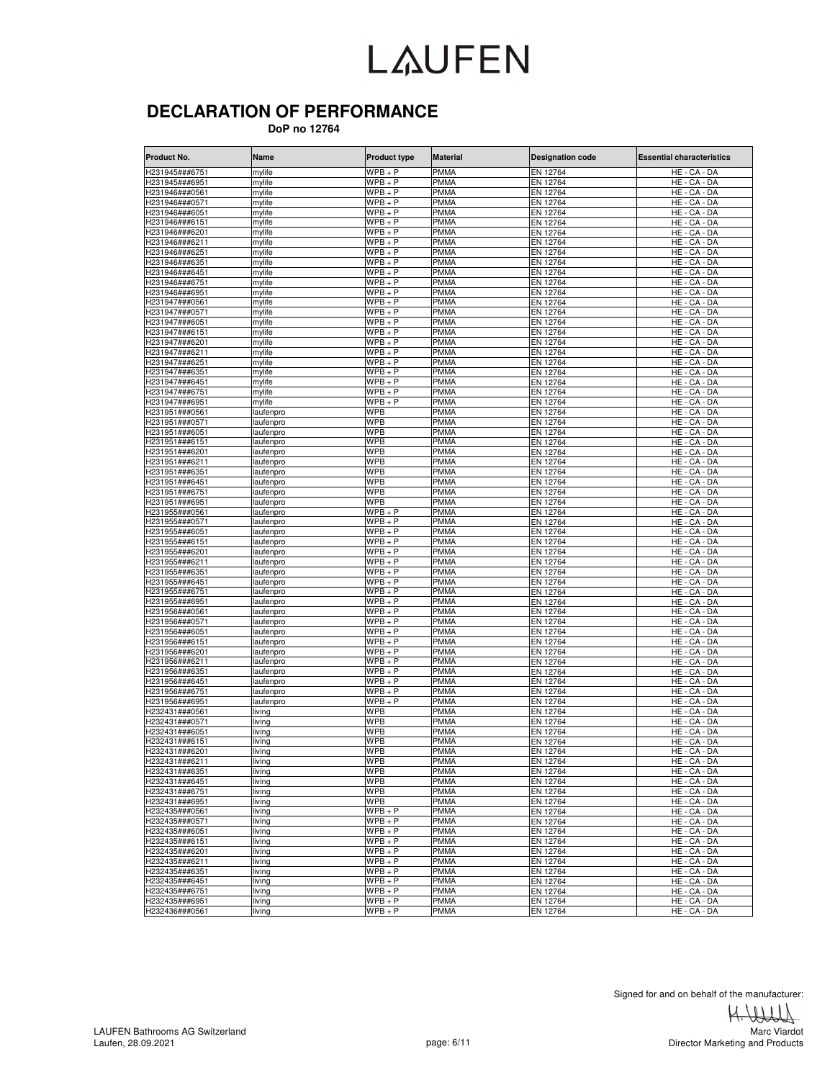#### **DECLARATION OF PERFORMANCE**

 **DoP no 12764**

| Product No.                      | Name                   | <b>Product type</b>      | <b>Material</b>            | <b>Designation code</b> | <b>Essential characteristics</b> |
|----------------------------------|------------------------|--------------------------|----------------------------|-------------------------|----------------------------------|
| H231945###6751                   | mylife                 | $WPB + P$                | <b>PMMA</b>                | EN 12764                | HE - CA - DA                     |
| H231945###6951                   | mylife                 | $WPB + P$                | <b>PMMA</b>                | EN 12764                | HE - CA - DA                     |
| H231946###0561                   | mylife                 | $WPB + P$                | <b>PMMA</b>                | EN 12764                | HE - CA - DA                     |
| H231946###0571                   | mylife                 | $WPB + P$                | <b>PMMA</b>                | EN 12764                | HE - CA - DA                     |
| H231946###6051                   | mylife                 | $WPB+P$                  | <b>PMMA</b>                | EN 12764                | HE - CA - DA                     |
| H231946###6151                   | mylife                 | $WPB + P$                | <b>PMMA</b>                | EN 12764                | HE - CA - DA                     |
| H231946###6201                   | mylife                 | $WPB + P$                | PMMA                       | EN 12764                | HE - CA - DA                     |
| H231946###6211<br>H231946###6251 | mylife<br>mylife       | $WPB + P$<br>$WPB+P$     | <b>PMMA</b><br>PMMA        | EN 12764                | HE - CA - DA                     |
| H231946###6351                   | mylife                 | $WPB + P$                | PMMA                       | EN 12764<br>EN 12764    | HE - CA - DA<br>HE - CA - DA     |
| H231946###6451                   | mylife                 | $WPB + P$                | <b>PMMA</b>                | EN 12764                | HE - CA - DA                     |
| H231946###6751                   | mylife                 | $WPB + P$                | <b>PMMA</b>                | EN 12764                | HE - CA - DA                     |
| H231946###6951                   | mylife                 | $WPB + P$                | <b>PMMA</b>                | EN 12764                | HE - CA - DA                     |
| H231947###0561                   | mylife                 | $WPB + P$                | PMMA                       | EN 12764                | HE - CA - DA                     |
| H231947###0571                   | mylife                 | $WPB + P$                | <b>PMMA</b>                | EN 12764                | HE - CA - DA                     |
| H231947###6051                   | mylife                 | $WPB + P$                | <b>PMMA</b>                | EN 12764                | HE - CA - DA                     |
| H231947###6151                   | mylife                 | $WPB + P$                | <b>PMMA</b>                | EN 12764                | HE - CA - DA                     |
| H231947###6201                   | mylife                 | $WPB + P$                | <b>PMMA</b>                | EN 12764                | HE - CA - DA                     |
| H231947###6211                   | mylife                 | $WPB + P$                | PMMA                       | EN 12764                | HE - CA - DA                     |
| H231947###6251                   | mylife                 | $WPB + P$                | <b>PMMA</b>                | EN 12764                | HE - CA - DA                     |
| H231947###6351                   | mylife                 | $WPB + P$                | <b>PMMA</b>                | EN 12764                | HE - CA - DA                     |
| H231947###6451                   | mylife                 | $WPB + P$                | PMMA                       | EN 12764                | HE - CA - DA                     |
| H231947###6751                   | mylife                 | $WPB + P$                | PMMA                       | EN 12764                | HE - CA - DA                     |
| H231947###6951<br>H231951###0561 | mylife<br>laufenpro    | $WPB + P$<br><b>WPB</b>  | <b>PMMA</b><br><b>PMMA</b> | EN 12764<br>EN 12764    | HE - CA - DA<br>HE - CA - DA     |
| H231951###0571                   | laufenpro              | <b>WPB</b>               | <b>PMMA</b>                | EN 12764                | HE - CA - DA                     |
| H231951###6051                   | laufenpro              | <b>WPB</b>               | <b>PMMA</b>                | EN 12764                | HE - CA - DA                     |
| H231951###6151                   | laufenpro              | <b>WPB</b>               | <b>PMMA</b>                | EN 12764                | HE - CA - DA                     |
| H231951###6201                   | laufenpro              | <b>WPB</b>               | <b>PMMA</b>                | EN 12764                | HE - CA - DA                     |
| H231951###6211                   | laufenpro              | <b>WPB</b>               | <b>PMMA</b>                | EN 12764                | HE - CA - DA                     |
| H231951###6351                   | laufenpro              | <b>WPB</b>               | <b>PMMA</b>                | EN 12764                | HE - CA - DA                     |
| H231951###6451                   | laufenpro              | <b>WPB</b>               | PMMA                       | EN 12764                | HE - CA - DA                     |
| H231951###6751                   | laufenpro              | <b>WPB</b>               | <b>PMMA</b>                | EN 12764                | HE - CA - DA                     |
| H231951###6951                   | laufenpro              | <b>WPB</b>               | <b>PMMA</b>                | EN 12764                | HE - CA - DA                     |
| H231955###0561                   | laufenpro              | $WPB + P$                | PMMA                       | EN 12764                | HE - CA - DA                     |
| H231955###0571                   | laufenpro              | $WPB + P$                | PMMA                       | EN 12764                | HE - CA - DA                     |
| H231955###6051                   | laufenpro              | $WPB + P$                | <b>PMMA</b>                | EN 12764                | HE - CA - DA                     |
| H231955###6151                   | laufenpro              | $WPB + P$                | <b>PMMA</b>                | EN 12764                | HE - CA - DA                     |
| H231955###6201                   | laufenpro              | $WPB + P$<br>$WPB + P$   | PMMA                       | EN 12764                | HE - CA - DA                     |
| H231955###6211<br>H231955###6351 | laufenpro<br>laufenpro | $WPB + P$                | PMMA<br><b>PMMA</b>        | EN 12764<br>EN 12764    | HE - CA - DA<br>HE - CA - DA     |
| H231955###6451                   | laufenpro              | $WPB + P$                | <b>PMMA</b>                | EN 12764                | HE - CA - DA                     |
| H231955###6751                   | laufenpro              | $WPB + P$                | <b>PMMA</b>                | EN 12764                | HE - CA - DA                     |
| H231955###6951                   | laufenpro              | $WPB + P$                | PMMA                       | EN 12764                | HE - CA - DA                     |
| H231956###0561                   | laufenpro              | $WPB + P$                | <b>PMMA</b>                | EN 12764                | HE - CA - DA                     |
| H231956###0571                   | laufenpro              | $WPB + P$                | <b>PMMA</b>                | EN 12764                | HE - CA - DA                     |
| H231956###6051                   | laufenpro              | $WPB + P$                | <b>PMMA</b>                | EN 12764                | HE - CA - DA                     |
| H231956###6151                   | laufenpro              | $WPB + P$                | PMMA                       | EN 12764                | HE - CA - DA                     |
| H231956###6201                   | laufenpro              | $WPB + P$                | <b>PMMA</b>                | EN 12764                | HE - CA - DA                     |
| H231956###6211                   | laufenpro              | $WPB + P$                | <b>PMMA</b>                | EN 12764                | HE - CA - DA                     |
| H231956###6351                   | laufenpro              | $WPB + P$                | <b>PMMA</b>                | EN 12764                | HE - CA - DA                     |
| H231956###6451                   | laufenpro              | $WPB + P$                | PMMA                       | EN 12764                | HE - CA - DA                     |
| H231956###6751                   | laufenpro              | $WPB + P$                | PMMA                       | EN 12764                | HE - CA - DA                     |
| H231956###6951                   | laufenpro              | $WPB + P$                | <b>PMMA</b>                | EN 12764                | HE - CA - DA                     |
| H232431###0561                   | living                 | <b>WPB</b>               | <b>PMMA</b>                | EN 12764                | HE - CA - DA                     |
| H232431###0571<br>H232431###6051 | living                 | <b>WPB</b><br><b>WPB</b> | <b>PMMA</b><br>PMMA        | EN 12764<br>EN 12764    | HE - CA - DA<br>HE - CA - DA     |
| H232431###6151                   | living<br>living       | <b>WPB</b>               | <b>PMMA</b>                | EN 12764                | HE - CA - DA                     |
| H232431###6201                   | living                 | <b>WPB</b>               | <b>PMMA</b>                | EN 12764                | HE - CA - DA                     |
| H232431###6211                   | living                 | <b>WPB</b>               | <b>PMMA</b>                | EN 12764                | HE - CA - DA                     |
| H232431###6351                   | living                 | <b>WPB</b>               | <b>PMMA</b>                | EN 12764                | HE - CA - DA                     |
| H232431###6451                   | living                 | <b>WPB</b>               | <b>PMMA</b>                | EN 12764                | HE - CA - DA                     |
| H232431###6751                   | living                 | <b>WPB</b>               | <b>PMMA</b>                | EN 12764                | HE - CA - DA                     |
| H232431###6951                   | living                 | <b>WPB</b>               | <b>PMMA</b>                | EN 12764                | HE - CA - DA                     |
| H232435###0561                   | living                 | $WPB + P$                | <b>PMMA</b>                | EN 12764                | HE - CA - DA                     |
| H232435###0571                   | living                 | $WPB + P$                | <b>PMMA</b>                | EN 12764                | HE - CA - DA                     |
| H232435###6051                   | living                 | $WPB + P$                | <b>PMMA</b>                | EN 12764                | HE - CA - DA                     |
| H232435###6151                   | living                 | $WPB + P$                | <b>PMMA</b>                | EN 12764                | HE - CA - DA                     |
| H232435###6201                   | living                 | $WPB + P$                | <b>PMMA</b>                | EN 12764                | HE - CA - DA                     |
| H232435###6211                   | living                 | $WPB + P$                | <b>PMMA</b>                | EN 12764                | HE - CA - DA                     |
| H232435###6351                   | living                 | $WPB + P$                | <b>PMMA</b>                | EN 12764                | HE - CA - DA                     |
| H232435###6451<br>H232435###6751 | living                 | $WPB + P$<br>$WPB + P$   | <b>PMMA</b><br><b>PMMA</b> | EN 12764                | HE - CA - DA                     |
| H232435###6951                   | living                 | $WPB + P$                | <b>PMMA</b>                | EN 12764<br>EN 12764    | HE - CA - DA<br>HE - CA - DA     |
| H232436###0561                   | living                 | $WPB + P$                | <b>PMMA</b>                | EN 12764                | HE - CA - DA                     |
|                                  | living                 |                          |                            |                         |                                  |

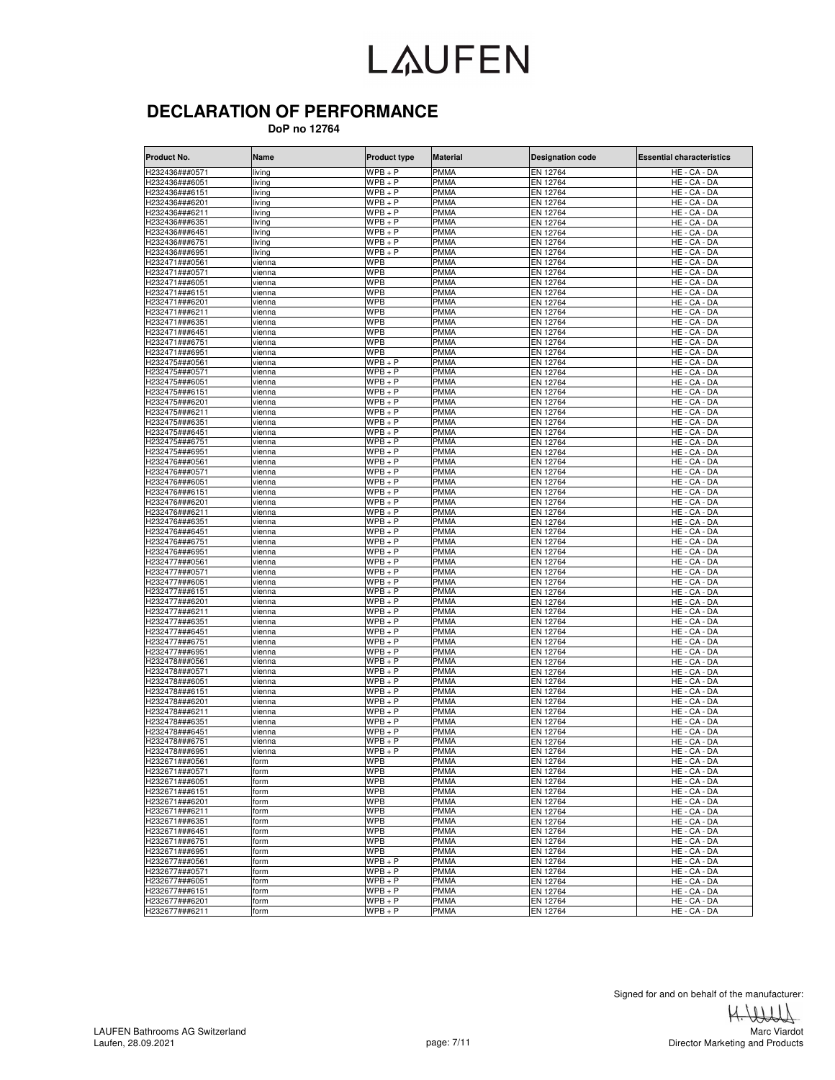#### **DECLARATION OF PERFORMANCE**

 **DoP no 12764**

| <b>Product No.</b>               | Name             | <b>Product type</b>    | <b>Material</b>            | <b>Designation code</b> | <b>Essential characteristics</b> |
|----------------------------------|------------------|------------------------|----------------------------|-------------------------|----------------------------------|
| H232436###0571                   | living           | $WPB + P$              | <b>PMMA</b>                | EN 12764                | HE - CA - DA                     |
| H232436###6051                   | living           | $WPB + P$              | <b>PMMA</b>                | EN 12764                | HE - CA - DA                     |
| H232436###6151                   | living           | $WPB + P$              | <b>PMMA</b>                | EN 12764                | HE - CA - DA                     |
| H232436###6201                   | living           | $WPB + P$              | <b>PMMA</b>                | EN 12764                | HE - CA - DA                     |
| H232436###6211                   | living           | $WPB + P$              | <b>PMMA</b>                | EN 12764                | HE - CA - DA                     |
| H232436###6351                   | living           | $WPB + P$              | <b>PMMA</b>                | EN 12764                | HE - CA - DA                     |
| H232436###6451                   | living           | $WPB + P$              | PMMA                       | EN 12764                | HE - CA - DA                     |
| H232436###6751<br>H232436###6951 | living<br>living | $WPB + P$<br>$WPB + P$ | <b>PMMA</b><br><b>PMMA</b> | EN 12764                | HE - CA - DA                     |
| H232471###0561                   | vienna           | <b>WPB</b>             | PMMA                       | EN 12764<br>EN 12764    | HE - CA - DA<br>HE - CA - DA     |
| H232471###0571                   | vienna           | <b>WPB</b>             | <b>PMMA</b>                | EN 12764                | HE - CA - DA                     |
| H232471###6051                   | vienna           | <b>WPB</b>             | <b>PMMA</b>                | EN 12764                | HE - CA - DA                     |
| H232471###6151                   | vienna           | <b>WPB</b>             | <b>PMMA</b>                | EN 12764                | HE - CA - DA                     |
| H232471###6201                   | vienna           | <b>WPB</b>             | <b>PMMA</b>                | EN 12764                | HE - CA - DA                     |
| H232471###6211                   | vienna           | <b>WPB</b>             | <b>PMMA</b>                | EN 12764                | HE - CA - DA                     |
| H232471###6351                   | vienna           | <b>WPB</b>             | <b>PMMA</b>                | EN 12764                | HE - CA - DA                     |
| H232471###6451                   | vienna           | <b>WPB</b>             | <b>PMMA</b>                | EN 12764                | HE - CA - DA                     |
| H232471###6751                   | vienna           | <b>WPB</b>             | <b>PMMA</b>                | EN 12764                | HE - CA - DA                     |
| H232471###6951                   | vienna           | <b>WPB</b>             | <b>PMMA</b>                | EN 12764                | HE - CA - DA                     |
| H232475###0561                   | vienna           | $WPB + P$              | <b>PMMA</b>                | EN 12764                | HE - CA - DA                     |
| H232475###0571                   | vienna           | $WPB + P$              | <b>PMMA</b>                | EN 12764                | HE - CA - DA                     |
| H232475###6051                   | vienna           | $WPB + P$              | PMMA                       | EN 12764                | HE - CA - DA                     |
| H232475###6151<br>H232475###6201 | vienna           | $WPB + P$<br>$WPB + P$ | PMMA<br><b>PMMA</b>        | EN 12764<br>EN 12764    | HE - CA - DA<br>HE - CA - DA     |
| H232475###6211                   | vienna<br>vienna | $WPB + P$              | <b>PMMA</b>                | EN 12764                | HE - CA - DA                     |
| H232475###6351                   | vienna           | $WPB + P$              | <b>PMMA</b>                | EN 12764                | HE - CA - DA                     |
| H232475###6451                   | vienna           | $WPB + P$              | PMMA                       | EN 12764                | HE - CA - DA                     |
| H232475###6751                   | vienna           | $WPB + P$              | PMMA                       | EN 12764                | HE - CA - DA                     |
| H232475###6951                   | vienna           | $WPB + P$              | <b>PMMA</b>                | EN 12764                | HE - CA - DA                     |
| H232476###0561                   | vienna           | $WPB + P$              | PMMA                       | EN 12764                | HE - CA - DA                     |
| H232476###0571                   | vienna           | $WPB + P$              | PMMA                       | EN 12764                | HE - CA - DA                     |
| H232476###6051                   | vienna           | $WPB+P$                | PMMA                       | EN 12764                | HE - CA - DA                     |
| H232476###6151                   | vienna           | $WPB + P$              | <b>PMMA</b>                | EN 12764                | HE - CA - DA                     |
| H232476###6201                   | vienna           | $WPB + P$              | <b>PMMA</b>                | EN 12764                | HE - CA - DA                     |
| H232476###6211                   | vienna           | $WPB + P$              | PMMA                       | EN 12764                | HE - CA - DA                     |
| H232476###6351                   | vienna           | $WPB + P$              | PMMA                       | EN 12764                | HE - CA - DA                     |
| H232476###6451                   | vienna           | $WPB + P$              | <b>PMMA</b>                | EN 12764                | HE - CA - DA                     |
| H232476###6751                   | vienna           | $WPB+P$                | <b>PMMA</b>                | EN 12764                | HE - CA - DA                     |
| H232476###6951                   | vienna           | $WPB + P$              | <b>PMMA</b>                | EN 12764                | HE - CA - DA                     |
| H232477###0561<br>H232477###0571 | vienna<br>vienna | $WPB + P$<br>$WPB + P$ | <b>PMMA</b><br><b>PMMA</b> | EN 12764<br>EN 12764    | HE - CA - DA<br>HE - CA - DA     |
| H232477###6051                   | vienna           | $WPB + P$              | <b>PMMA</b>                | EN 12764                | HE - CA - DA                     |
| H232477###6151                   | vienna           | $WPB + P$              | <b>PMMA</b>                | EN 12764                | HE - CA - DA                     |
| H232477###6201                   | vienna           | $WPB + P$              | PMMA                       | EN 12764                | HE - CA - DA                     |
| H232477###6211                   | vienna           | $WPB + P$              | PMMA                       | EN 12764                | HE - CA - DA                     |
| H232477###6351                   | vienna           | $WPB + P$              | <b>PMMA</b>                | EN 12764                | HE - CA - DA                     |
| H232477###6451                   | vienna           | $WPB + P$              | <b>PMMA</b>                | EN 12764                | HE - CA - DA                     |
| H232477###6751                   | vienna           | $WPB + P$              | PMMA                       | EN 12764                | HE - CA - DA                     |
| H232477###6951                   | vienna           | $WPB + P$              | <b>PMMA</b>                | EN 12764                | HE - CA - DA                     |
| H232478###0561                   | vienna           | $WPB + P$              | <b>PMMA</b>                | EN 12764                | HE - CA - DA                     |
| H232478###0571                   | vienna           | $WPB + P$              | <b>PMMA</b>                | EN 12764                | HE - CA - DA                     |
| H232478###6051                   | vienna           | $WPB + P$              | PMMA                       | EN 12764                | HE - CA - DA                     |
| H232478###6151                   | vienna           | $WPB + P$              | PMMA                       | EN 12764                | HE - CA - DA                     |
| H232478###6201                   | vienna           | $WPB + P$              | <b>PMMA</b>                | EN 12764                | HE - CA - DA                     |
| H232478###6211                   | vienna           | $WPB+P$                | PMMA                       | EN 12764                | HE - CA - DA                     |
| H232478###6351<br>H232478###6451 | vienna           | $WPB + P$<br>$WPB + P$ | <b>PMMA</b><br>PMMA        | EN 12764<br>EN 12764    | HE - CA - DA<br>HE - CA - DA     |
| H232478###6751                   | vienna<br>vienna | $WPB + P$              | <b>PMMA</b>                | EN 12764                | HE - CA - DA                     |
| H232478###6951                   | vienna           | $WPB+P$                | PMMA                       | EN 12764                | HE - CA - DA                     |
| H232671###0561                   | form             | <b>WPB</b>             | <b>PMMA</b>                | EN 12764                | HE - CA - DA                     |
| H232671###0571                   | form             | <b>WPB</b>             | <b>PMMA</b>                | EN 12764                | HE - CA - DA                     |
| H232671###6051                   | form             | <b>WPB</b>             | <b>PMMA</b>                | EN 12764                | HE - CA - DA                     |
| H232671###6151                   | form             | <b>WPB</b>             | <b>PMMA</b>                | EN 12764                | HE - CA - DA                     |
| H232671###6201                   | form             | <b>WPB</b>             | <b>PMMA</b>                | EN 12764                | HE - CA - DA                     |
| H232671###6211                   | form             | <b>WPB</b>             | <b>PMMA</b>                | EN 12764                | HE - CA - DA                     |
| H232671###6351                   | form             | <b>WPB</b>             | <b>PMMA</b>                | EN 12764                | HE - CA - DA                     |
| H232671###6451                   | form             | <b>WPB</b>             | <b>PMMA</b>                | EN 12764                | HE - CA - DA                     |
| H232671###6751                   | form             | <b>WPB</b>             | <b>PMMA</b>                | EN 12764                | HE - CA - DA                     |
| H232671###6951                   | form             | <b>WPB</b>             | <b>PMMA</b>                | EN 12764                | HE - CA - DA                     |
| H232677###0561                   | form             | $WPB + P$              | <b>PMMA</b>                | EN 12764                | HE - CA - DA                     |
| H232677###0571                   | form             | $WPB + P$              | <b>PMMA</b>                | EN 12764                | HE - CA - DA                     |
| H232677###6051<br>H232677###6151 | form             | $WPB + P$<br>$WPB + P$ | <b>PMMA</b><br><b>PMMA</b> | EN 12764                | HE - CA - DA                     |
| H232677###6201                   | form<br>form     | $WPB + P$              | <b>PMMA</b>                | EN 12764<br>EN 12764    | HE - CA - DA<br>HE - CA - DA     |
| H232677###6211                   |                  | $WPB + P$              | <b>PMMA</b>                | EN 12764                | HE - CA - DA                     |
|                                  | form             |                        |                            |                         |                                  |

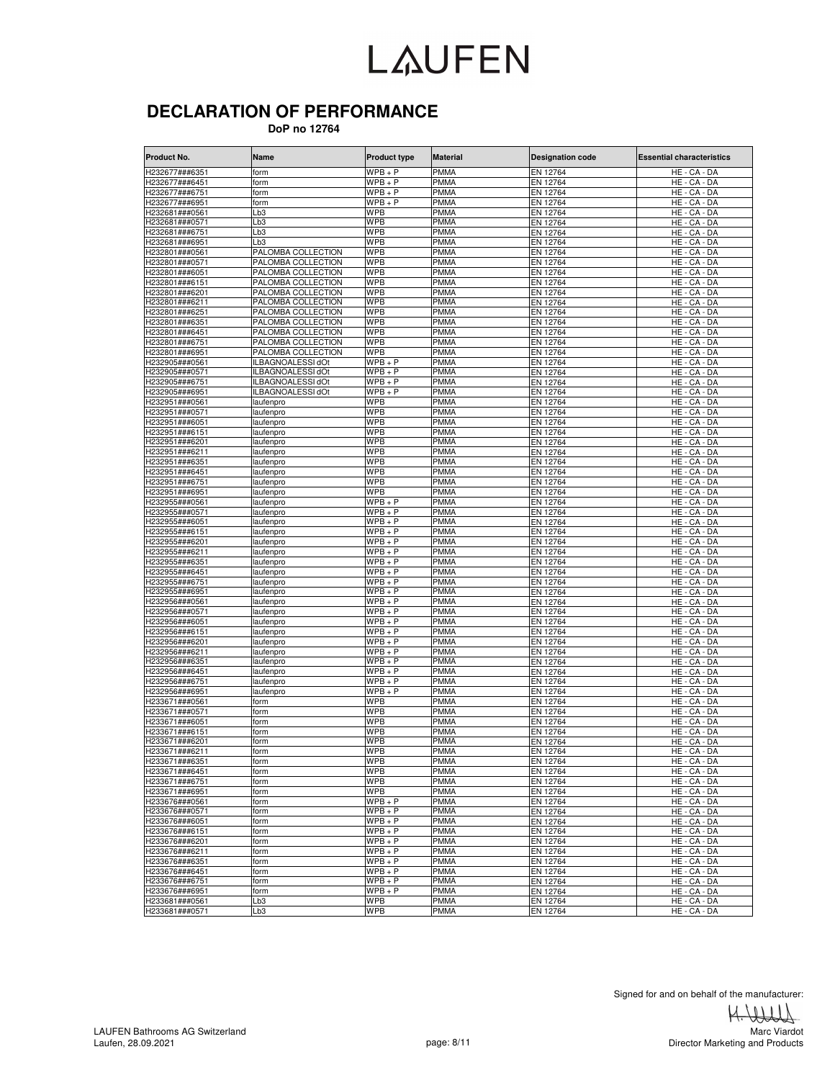#### **DECLARATION OF PERFORMANCE**

 **DoP no 12764**

| Product No.    | Name                     | <b>Product type</b>  | <b>Material</b> | <b>Designation code</b> | <b>Essential characteristics</b> |
|----------------|--------------------------|----------------------|-----------------|-------------------------|----------------------------------|
| H232677###6351 | form                     | $WPB + P$            | <b>PMMA</b>     | EN 12764                | HE - CA - DA                     |
| H232677###6451 | form                     | $WPB + P$            | <b>PMMA</b>     | EN 12764                | HE - CA - DA                     |
| H232677###6751 | form                     | $WPB + P$            | <b>PMMA</b>     | EN 12764                | HE - CA - DA                     |
| H232677###6951 | form                     | $WPB + P$            | <b>PMMA</b>     | EN 12764                | HE - CA - DA                     |
| H232681###0561 | Lb3                      | WPB                  | <b>PMMA</b>     | EN 12764                | HE - CA - DA                     |
| H232681###0571 | $\mathsf{Lb}3$           | <b>WPB</b>           | <b>PMMA</b>     | EN 12764                | HE - CA - DA                     |
| H232681###6751 | -b3                      | WPB                  | <b>PMMA</b>     | EN 12764                | HE - CA - DA                     |
| H232681###6951 | $\mathsf{b}3$            | <b>WPB</b>           | <b>PMMA</b>     | EN 12764                | HE - CA - DA                     |
| 1232801###0561 | PALOMBA COLLECTION       | WPB                  | <b>PMMA</b>     | EN 12764                | HE - CA - DA                     |
| H232801###0571 | PALOMBA COLLECTION       | <b>WPB</b>           | <b>PMMA</b>     | EN 12764                | HE - CA - DA                     |
| H232801###6051 | PALOMBA COLLECTION       | WPB                  | <b>PMMA</b>     | EN 12764                | HE - CA - DA                     |
| H232801###6151 | PALOMBA COLLECTION       | <b>WPB</b>           | <b>PMMA</b>     | EN 12764                | HE - CA - DA                     |
| H232801###6201 | PALOMBA COLLECTION       | <b>WPB</b>           | <b>PMMA</b>     | EN 12764                | HE - CA - DA                     |
| H232801###6211 | PALOMBA COLLECTION       | <b>WPB</b>           | <b>PMMA</b>     | EN 12764                | HE - CA - DA                     |
| H232801###6251 | PALOMBA COLLECTION       | WPB                  | <b>PMMA</b>     | EN 12764                | $HE - CA - DA$                   |
| H232801###6351 | PALOMBA COLLECTION       | WPB                  | <b>PMMA</b>     | EN 12764                | HE - CA - DA                     |
| H232801###6451 | PALOMBA COLLECTION       | <b>WPB</b>           | <b>PMMA</b>     | EN 12764                | HE - CA - DA                     |
| H232801###6751 | PALOMBA COLLECTION       | WPB                  | <b>PMMA</b>     | EN 12764                | HE - CA - DA                     |
| H232801###6951 | PALOMBA COLLECTION       | WPB                  | <b>PMMA</b>     | EN 12764                | HE - CA - DA                     |
| H232905###0561 | <b>ILBAGNOALESSI dOt</b> | $WPB + P$            | <b>PMMA</b>     | EN 12764                | HE - CA - DA                     |
| H232905###0571 | ILBAGNOALESSI dOt        | $WPB+P$              | <b>PMMA</b>     | EN 12764                | HE - CA - DA                     |
| H232905###6751 | <b>ILBAGNOALESSI dOt</b> | $WPB + P$            | <b>PMMA</b>     | EN 12764                | HE - CA - DA                     |
| H232905###6951 | ILBAGNOALESSI dOt        | $WPB + P$            | <b>PMMA</b>     | EN 12764                | HE - CA - DA                     |
| H232951###0561 | laufenpro                | <b>WPB</b>           | <b>PMMA</b>     | EN 12764                | HE - CA - DA                     |
| H232951###0571 | aufenpro                 | WPB                  | <b>PMMA</b>     | EN 12764                | HE - CA - DA                     |
| H232951###6051 | laufenpro                | <b>WPB</b>           | <b>PMMA</b>     | EN 12764                | HE - CA - DA                     |
| H232951###6151 | laufenpro                | <b>WPB</b>           | <b>PMMA</b>     | EN 12764                | HE - CA - DA                     |
| H232951###6201 | aufenpro                 | <b>WPB</b>           | <b>PMMA</b>     | EN 12764                | HE - CA - DA                     |
| 1232951###6211 | aufenpro                 | WPB                  | <b>PMMA</b>     | EN 12764                | HE - CA - DA                     |
| H232951###6351 | aufenpro                 | <b>WPB</b>           | <b>PMMA</b>     | EN 12764                | HE - CA - DA                     |
| H232951###6451 | aufenpro                 | <b>WPB</b>           | <b>PMMA</b>     | EN 12764                | HE - CA - DA                     |
| H232951###6751 | laufenpro                | WPB                  | <b>PMMA</b>     | EN 12764                | HE - CA - DA                     |
| H232951###6951 | laufenpro                | <b>WPB</b>           | <b>PMMA</b>     | EN 12764                | HE - CA - DA                     |
| H232955###0561 | aufenpro                 | $WPB + P$            | <b>PMMA</b>     | EN 12764                | HE - CA - DA                     |
| H232955###0571 | laufenpro                | $WPB + P$            | <b>PMMA</b>     | EN 12764                | HE - CA - DA                     |
| 1232955###6051 | aufenpro                 | WPB + P              | <b>PMMA</b>     | EN 12764                | HE - CA - DA                     |
| 1232955###6151 | aufenpro                 | WPB + P              | <b>PMMA</b>     | EN 12764                | HE - CA - DA                     |
| H232955###6201 | laufenpro                | $WPB+P$              | <b>PMMA</b>     | EN 12764                | HE - CA - DA                     |
| H232955###6211 | aufenpro                 | WPB + P              | <b>PMMA</b>     | EN 12764                | HE<br>- CA - DA                  |
| H232955###6351 | aufenpro                 | WPB + P              | <b>PMMA</b>     | EN 12764                | HE-CA<br>- DA                    |
| H232955###6451 | aufenpro                 | WPB + P              | <b>PMMA</b>     | EN 12764                | HE - CA - DA                     |
| H232955###6751 | laufenpro                | $WPB+P$              | <b>PMMA</b>     | EN 12764                | HE - CA - DA                     |
| H232955###6951 | aufenpro                 | $WPB + P$            | <b>PMMA</b>     | EN 12764                | HE - CA - DA                     |
| H232956###0561 | laufenpro                | $WPB + P$            | <b>PMMA</b>     | EN 12764                | HE - CA - DA                     |
| 1232956###0571 | aufenpro                 | WPB + P              | <b>PMMA</b>     | EN 12764                | HE - CA - DA                     |
| H232956###6051 | aufenpro                 | $WPB+P$              | <b>PMMA</b>     | EN 12764                | HE - CA - DA                     |
| H232956###6151 | laufenpro                | $WPB + P$            | <b>PMMA</b>     | EN 12764                | HE - CA - DA                     |
| H232956###6201 | aufenpro                 | WPB + P              | <b>PMMA</b>     | EN 12764                | HE - CA - DA                     |
| H232956###6211 | aufenpro                 | $WPB + P$            | <b>PMMA</b>     | EN 12764                | HE - CA - DA                     |
| H232956###6351 | aufenpro                 | WPB + P              | <b>PMMA</b>     | EN 12764                | HE - CA - DA                     |
| H232956###6451 | laufenpro                | $WPB+P$              | <b>PMMA</b>     | EN 12764                | HE - CA - DA                     |
| H232956###6751 | laufenpro                | $\overline{W}PB + P$ | <b>PMMA</b>     | EN 12764                | HE - CA - DA                     |
| H232956###6951 | aufenpro                 | WPB + P              | <b>PMMA</b>     | EN 12764                | HE - CA - DA                     |
| H233671###0561 | form                     | WPB                  | <b>PMMA</b>     | EN 12764                | HE - CA - DA                     |
| H233671###0571 | form                     | <b>WPB</b>           | <b>PMMA</b>     | EN 12764                | HE - CA - DA                     |
| H233671###6051 | form                     | <b>WPB</b>           | <b>PMMA</b>     | EN 12764                | HE - CA - DA                     |
| H233671###6151 | orm                      | WPB                  | <b>PMMA</b>     | EN 12764                | HE - CA - DA                     |
| H233671###6201 | form                     | <b>WPB</b>           | <b>PMMA</b>     | EN 12764                | HE - CA - DA                     |
| H233671###6211 | form                     | WPB                  | <b>PMMA</b>     | EN 12764                | HE - CA - DA                     |
| H233671###6351 | form                     | <b>WPB</b>           | <b>PMMA</b>     | EN 12764                | HE - CA - DA                     |
| H233671###6451 | form                     | <b>WPB</b>           | <b>PMMA</b>     | EN 12764                | HE - CA - DA                     |
| H233671###6751 | form                     | <b>WPB</b>           | <b>PMMA</b>     | EN 12764                | HE - CA - DA                     |
| H233671###6951 | form                     | <b>WPB</b>           | <b>PMMA</b>     | EN 12764                | HE - CA - DA                     |
| H233676###0561 | form                     | $WPB + P$            | <b>PMMA</b>     | EN 12764                | HE - CA - DA                     |
| H233676###0571 | form                     | $WPB + P$            | <b>PMMA</b>     | EN 12764                | HE - CA - DA                     |
| H233676###6051 | form                     | $WPB + P$            | <b>PMMA</b>     | EN 12764                | HE - CA - DA                     |
| H233676###6151 | form                     | $WPB + P$            | <b>PMMA</b>     | EN 12764                | HE - CA - DA                     |
| H233676###6201 | form                     | $WPB + P$            | <b>PMMA</b>     | EN 12764                | HE - CA - DA                     |
| H233676###6211 | form                     | $WPB + P$            | <b>PMMA</b>     | EN 12764                | HE - CA - DA                     |
| H233676###6351 | form                     | $WPB + P$            | <b>PMMA</b>     | EN 12764                | HE - CA - DA                     |
| H233676###6451 | form                     | $WPB + P$            | <b>PMMA</b>     | EN 12764                | HE - CA - DA                     |
| H233676###6751 | form                     | $WPB + P$            | <b>PMMA</b>     | EN 12764                | HE - CA - DA                     |
| H233676###6951 | form                     | $WPB + P$            | <b>PMMA</b>     | EN 12764                | HE - CA - DA                     |
| H233681###0561 | Lb3                      | <b>WPB</b>           | <b>PMMA</b>     | EN 12764                | HE - CA - DA                     |
| H233681###0571 | Lb3                      | <b>WPB</b>           | <b>PMMA</b>     | EN 12764                | HE - CA - DA                     |

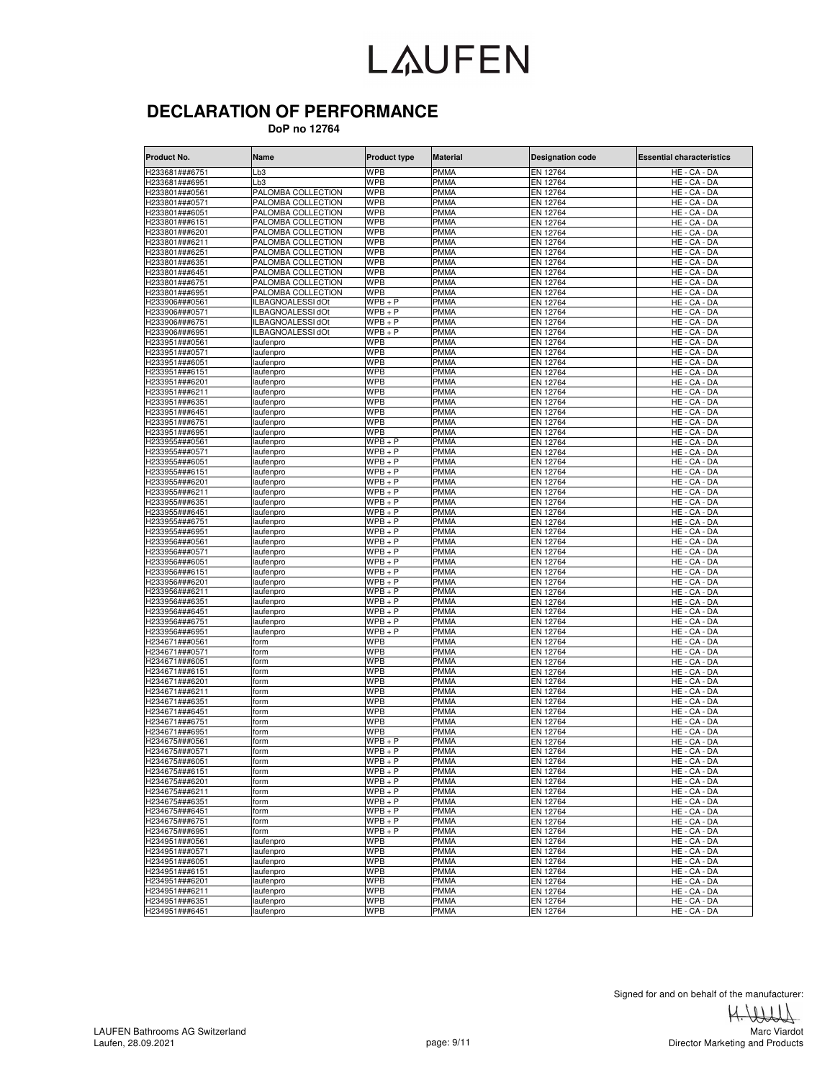#### **DECLARATION OF PERFORMANCE**

 **DoP no 12764**

| Product No.                      | Name                                     | <b>Product type</b>      | <b>Material</b>            | <b>Designation code</b> | <b>Essential characteristics</b> |
|----------------------------------|------------------------------------------|--------------------------|----------------------------|-------------------------|----------------------------------|
| H233681###6751                   | Lb3                                      | <b>WPB</b>               | <b>PMMA</b>                | EN 12764                | HE - CA - DA                     |
| H233681###6951                   | Lb3                                      | <b>WPB</b>               | <b>PMMA</b>                | EN 12764                | HE - CA - DA                     |
| H233801###0561                   | PALOMBA COLLECTION                       | <b>WPB</b>               | <b>PMMA</b>                | EN 12764                | HE - CA - DA                     |
| H233801###0571                   | PALOMBA COLLECTION                       | <b>WPB</b>               | <b>PMMA</b>                | EN 12764                | HE - CA - DA                     |
| H233801###6051                   | PALOMBA COLLECTION                       | <b>WPB</b>               | PMMA                       | EN 12764                | HE - CA - DA                     |
| H233801###6151                   | PALOMBA COLLECTION                       | <b>WPB</b>               | <b>PMMA</b>                | EN 12764                | HE - CA - DA                     |
| H233801###6201                   | PALOMBA COLLECTION                       | <b>WPB</b>               | <b>PMMA</b>                | EN 12764                | HE - CA - DA                     |
| H233801###6211                   | PALOMBA COLLECTION                       | <b>WPB</b>               | PMMA                       | EN 12764                | HE - CA - DA                     |
| H233801###6251<br>H233801###6351 | PALOMBA COLLECTION                       | <b>WPB</b><br><b>WPB</b> | PMMA<br><b>PMMA</b>        | EN 12764                | HE - CA - DA<br>HE - CA - DA     |
| H233801###6451                   | PALOMBA COLLECTION<br>PALOMBA COLLECTION | <b>WPB</b>               | <b>PMMA</b>                | EN 12764<br>EN 12764    | $HE - CA - DA$                   |
| H233801###6751                   | PALOMBA COLLECTION                       | <b>WPB</b>               | <b>PMMA</b>                | EN 12764                | HE - CA - DA                     |
| H233801###6951                   | PALOMBA COLLECTION                       | <b>WPB</b>               | <b>PMMA</b>                | EN 12764                | HE - CA - DA                     |
| H233906###0561                   | ILBAGNOALESSI dOt                        | $WPB + P$                | <b>PMMA</b>                | EN 12764                | HE - CA - DA                     |
| H233906###0571                   | ILBAGNOALESSI dOt                        | $WPB + P$                | <b>PMMA</b>                | EN 12764                | HE - CA - DA                     |
| H233906###6751                   | ILBAGNOALESSI dOt                        | $WPB + P$                | <b>PMMA</b>                | EN 12764                | HE - CA - DA                     |
| H233906###6951                   | ILBAGNOALESSI dOt                        | $WPB + P$                | PMMA                       | EN 12764                | HE - CA - DA                     |
| H233951###0561                   | laufenpro                                | <b>WPB</b>               | <b>PMMA</b>                | EN 12764                | HE - CA - DA                     |
| H233951###0571                   | laufenpro                                | <b>WPB</b>               | <b>PMMA</b>                | EN 12764                | HE - CA - DA                     |
| H233951###6051                   | laufenpro                                | <b>WPB</b>               | <b>PMMA</b>                | EN 12764                | HE - CA - DA                     |
| H233951###6151                   | laufenpro                                | <b>WPB</b>               | PMMA                       | EN 12764                | HE - CA - DA                     |
| H233951###6201                   | laufenpro                                | <b>WPB</b>               | <b>PMMA</b>                | EN 12764                | HE - CA - DA                     |
| H233951###6211                   | laufenpro                                | <b>WPB</b>               | <b>PMMA</b>                | EN 12764                | HE - CA - DA                     |
| H233951###6351                   | laufenpro                                | <b>WPB</b>               | <b>PMMA</b>                | EN 12764                | HE - CA - DA                     |
| H233951###6451                   | laufenpro                                | <b>WPB</b>               | <b>PMMA</b>                | EN 12764                | HE - CA - DA                     |
| H233951###6751                   | laufenpro                                | <b>WPB</b>               | PMMA                       | EN 12764                | HE - CA - DA                     |
| H233951###6951                   | laufenpro                                | <b>WPB</b>               | <b>PMMA</b><br><b>PMMA</b> | EN 12764                | HE - CA - DA<br>HE - CA - DA     |
| H233955###0561                   | laufenpro                                | $WPB + P$<br>$WPB + P$   | <b>PMMA</b>                | EN 12764<br>EN 12764    | HE - CA - DA                     |
| H233955###0571<br>H233955###6051 | laufenpro<br>laufenpro                   | $WPB + P$                | PMMA                       | EN 12764                | $HE - CA - DA$                   |
| H233955###6151                   | laufenpro                                | $WPB + P$                | <b>PMMA</b>                | EN 12764                | HE - CA - DA                     |
| H233955###6201                   | laufenpro                                | $WPB + P$                | PMMA                       | EN 12764                | HE - CA - DA                     |
| H233955###6211                   | laufenpro                                | $WPB + P$                | <b>PMMA</b>                | EN 12764                | HE-<br>CA - DA                   |
| H233955###6351                   | laufenpro                                | $WPB + P$                | <b>PMMA</b>                | EN 12764                | HE - CA - DA                     |
| H233955###6451                   | laufenpro                                | $WPB + P$                | <b>PMMA</b>                | EN 12764                | HE<br>- CA - DA                  |
| H233955###6751                   | laufenpro                                | $WPB + P$                | <b>PMMA</b>                | EN 12764                | HE - CA - DA                     |
| H233955###6951                   | laufenpro                                | $WPB + P$                | PMMA                       | EN 12764                | HE - CA - DA                     |
| H233956###0561                   | laufenpro                                | $WPB + P$                | <b>PMMA</b>                | EN 12764                | HE - CA - DA                     |
| H233956###0571                   | laufenpro                                | $WPB + P$                | <b>PMMA</b>                | EN 12764                | HE - CA - DA                     |
| H233956###6051                   | laufenpro                                | $WPB + P$                | <b>PMMA</b>                | EN 12764                | HE - CA - DA                     |
| H233956###6151                   | laufenpro                                | $WPB + P$                | <b>PMMA</b>                | EN 12764                | HE - CA - DA                     |
| H233956###6201                   | laufenpro                                | $WPB + P$                | PMMA                       | EN 12764                | HE-<br>CA - DA                   |
| H233956###6211                   | laufenpro                                | $WPB + P$                | <b>PMMA</b>                | EN 12764                | HE - CA - DA                     |
| H233956###6351                   | laufenpro                                | $WPB + P$                | <b>PMMA</b>                | EN 12764                | HE - CA - DA                     |
| H233956###6451<br>H233956###6751 | laufenpro                                | $WPB + P$<br>$WPB + P$   | <b>PMMA</b><br>PMMA        | EN 12764                | HE - CA - DA                     |
| H233956###6951                   | laufenpro<br>laufenpro                   | $WPB + P$                | <b>PMMA</b>                | EN 12764<br>EN 12764    | HE - CA - DA<br>HE - CA - DA     |
| H234671###0561                   | form                                     | <b>WPB</b>               | <b>PMMA</b>                | EN 12764                | HE - CA - DA                     |
| H234671###0571                   | form                                     | <b>WPB</b>               | <b>PMMA</b>                | EN 12764                | HE - CA - DA                     |
| H234671###6051                   | form                                     | <b>WPB</b>               | <b>PMMA</b>                | EN 12764                | HE - CA - DA                     |
| H234671###6151                   | form                                     | <b>WPB</b>               | <b>PMMA</b>                | EN 12764                | HE - CA - DA                     |
| H234671###6201                   | form                                     | <b>WPB</b>               | <b>PMMA</b>                | EN 12764                | HE - CA - DA                     |
| H234671###6211                   | form                                     | <b>WPB</b>               | <b>PMMA</b>                | EN 12764                | HE - CA - DA                     |
| H234671###6351                   | form                                     | <b>WPB</b>               | <b>PMMA</b>                | EN 12764                | HE - CA - DA                     |
| H234671###6451                   | form                                     | <b>WPB</b>               | PMMA                       | EN 12764                | HE - CA - DA                     |
| H234671###6751                   | form                                     | <b>WPB</b>               | <b>PMMA</b>                | EN 12764                | HE - CA - DA                     |
| H234671###6951                   | form                                     | <b>WPB</b>               | <b>PMMA</b>                | EN 12764                | HE - CA - DA                     |
| H234675###0561                   | form                                     | $WPB + P$                | PMMA                       | EN 12764                | HE - CA - DA                     |
| H234675###0571                   | form                                     | $WPB + P$                | PMMA                       | EN 12764                | HE - CA - DA                     |
| H234675###6051                   | form                                     | WPB + P                  | PMMA                       | EN 12764                | HE - CA - DA                     |
| H234675###6151                   | form                                     | $WPB + P$                | <b>PMMA</b>                | EN 12764                | HE - CA - DA                     |
| H234675###6201                   | form                                     | $WPB + P$                | <b>PMMA</b>                | EN 12764                | HE - CA - DA                     |
| H234675###6211                   | form                                     | $WPB + P$<br>$WPB + P$   | <b>PMMA</b><br><b>PMMA</b> | <b>EN 12764</b>         | HE - CA - DA                     |
| H234675###6351<br>H234675###6451 | form                                     | $WPB + P$                | <b>PMMA</b>                | EN 12764                | HE - CA - DA<br>HE - CA - DA     |
| H234675###6751                   | form<br>form                             | $WPB + P$                | <b>PMMA</b>                | EN 12764<br>EN 12764    | HE - CA - DA                     |
| H234675###6951                   | form                                     | $WPB + P$                | <b>PMMA</b>                | EN 12764                | HE - CA - DA                     |
| H234951###0561                   | laufenpro                                | <b>WPB</b>               | <b>PMMA</b>                | EN 12764                | HE - CA - DA                     |
| H234951###0571                   | laufenpro                                | <b>WPB</b>               | <b>PMMA</b>                | EN 12764                | HE - CA - DA                     |
| H234951###6051                   | laufenpro                                | <b>WPB</b>               | <b>PMMA</b>                | EN 12764                | HE - CA - DA                     |
| H234951###6151                   | laufenpro                                | <b>WPB</b>               | <b>PMMA</b>                | EN 12764                | HE - CA - DA                     |
| H234951###6201                   | laufenpro                                | <b>WPB</b>               | <b>PMMA</b>                | EN 12764                | HE - CA - DA                     |
| H234951###6211                   | laufenpro                                | <b>WPB</b>               | <b>PMMA</b>                | EN 12764                | HE - CA - DA                     |
| H234951###6351                   | laufenpro                                | <b>WPB</b>               | <b>PMMA</b>                | EN 12764                | HE - CA - DA                     |
| H234951###6451                   | laufenpro                                | <b>WPB</b>               | <b>PMMA</b>                | EN 12764                | HE - CA - DA                     |

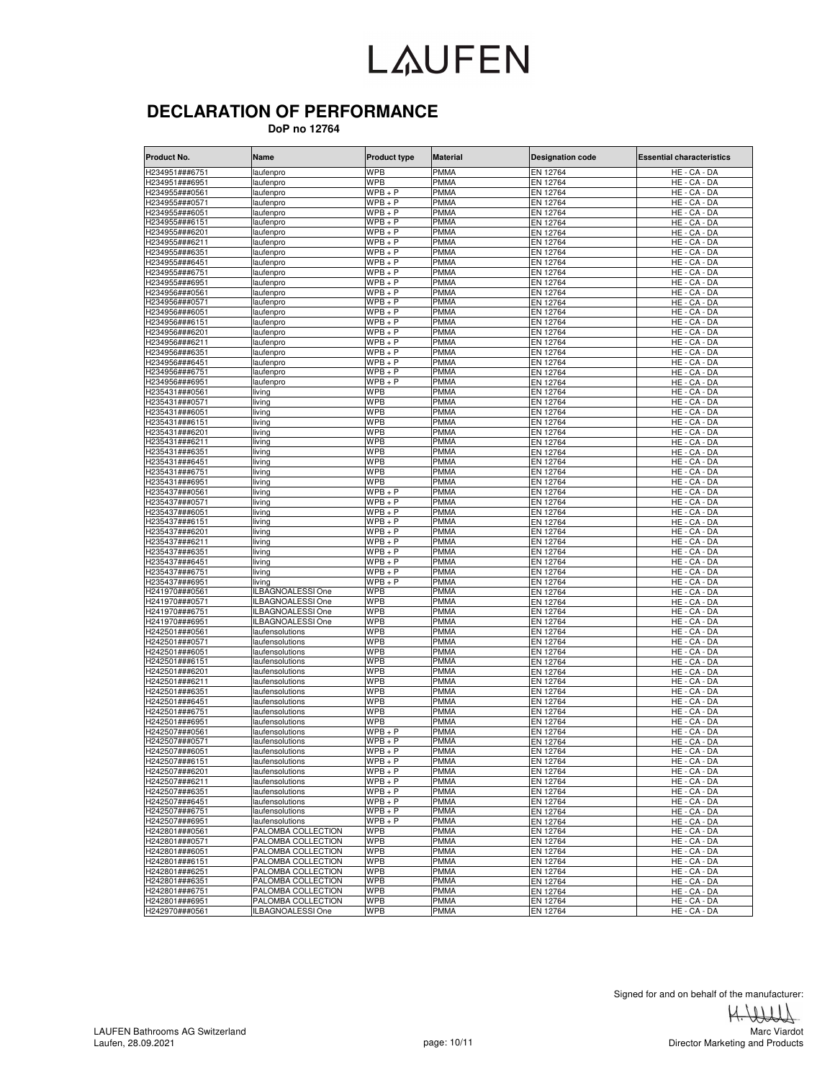### **DECLARATION OF PERFORMANCE**

 **DoP no 12764**

| Product No.                      | Name                     | <b>Product type</b>    | <b>Material</b>            | <b>Designation code</b> | <b>Essential characteristics</b> |
|----------------------------------|--------------------------|------------------------|----------------------------|-------------------------|----------------------------------|
| H234951###675 <sup>-</sup>       | aufenpro                 | <b>WPB</b>             | <b>PMMA</b>                | EN 12764                | HE - CA - DA                     |
| H234951###6951                   | laufenpro                | <b>WPB</b>             | <b>PMMA</b>                | EN 12764                | HE - CA - DA                     |
| H234955###0561                   | aufenpro                 | $WPB + P$              | <b>PMMA</b>                | EN 12764                | HE - CA - DA                     |
| H234955###0571                   | laufenpro                | $WPB + P$              | <b>PMMA</b>                | EN 12764                | HE - CA - DA                     |
| H234955###6051                   | laufenpro                | $WPB + P$              | <b>PMMA</b>                | EN 12764                | HE - CA - DA                     |
| H234955###6151                   | laufenpro                | $WPB + P$              | <b>PMMA</b>                | EN 12764                | HE - CA - DA                     |
| H234955###6201                   | aufenpro                 | $WPB + P$              | <b>PMMA</b>                | EN 12764                | HE - CA - DA                     |
| H234955###6211                   | aufenpro                 | $WPB+P$                | <b>PMMA</b>                | EN 12764                | HE - CA - DA                     |
| -1234955###6351                  | aufenpro                 | $WPB+P$                | <b>PMMA</b>                | EN 12764                | HE - CA - DA                     |
| H234955###6451                   | laufenpro                | $WPB + P$              | <b>PMMA</b>                | EN 12764                | HE - CA - DA                     |
| H234955###6751                   | laufenpro                | $WPB + P$              | <b>PMMA</b>                | EN 12764                | HE - CA - DA                     |
| H234955###6951                   | aufenpro                 | $WPB + P$              | <b>PMMA</b>                | EN 12764                | HE - CA - DA                     |
| H234956###0561                   | laufenpro                | $WPB + P$              | <b>PMMA</b>                | EN 12764                | HE - CA - DA                     |
| H234956###0571                   | laufenpro                | $WPB + P$              | <b>PMMA</b>                | EN 12764                | HE - CA - DA                     |
| H234956###6051                   | laufenpro                | WPB + P                | <b>PMMA</b>                | EN 12764                | HE - CA - DA                     |
| H234956###6151                   | aufenpro                 | $WPB + P$              | <b>PMMA</b>                | EN 12764                | HE - CA - DA                     |
| H234956###6201                   | aufenpro                 | $WPB + P$              | <b>PMMA</b>                | EN 12764                | HE - CA - DA                     |
| H234956###6211                   | aufenpro                 | WPB + P                | <b>PMMA</b>                | EN 12764                | HE - CA - DA                     |
| H234956###6351                   | laufenpro                | $WPB + P$              | <b>PMMA</b>                | EN 12764                | HE - CA - DA                     |
| H234956###6451                   | laufenpro                | $WPB + P$              | <b>PMMA</b>                | EN 12764                | HE - CA - DA                     |
| H234956###6751                   | laufenpro                | WPB + P                | <b>PMMA</b>                | EN 12764                | HE - CA - DA                     |
| H234956###6951                   | laufenpro                | $\overline{W}PB + P$   | <b>PMMA</b>                | EN 12764                | HE - CA - DA                     |
| H235431###0561                   | iving                    | WPB                    | <b>PMMA</b>                | EN 12764                | HE - CA - DA                     |
| H235431###0571                   | iving                    | <b>WPB</b>             | <b>PMMA</b>                | EN 12764                | HE - CA - DA                     |
| 1235431###6051                   | iving                    | <b>WPB</b>             | PMMA                       | EN 12764                | HE - CA - DA                     |
| H235431###6151                   | iving                    | <b>WPB</b>             | <b>PMMA</b>                | EN 12764                | HE - CA - DA                     |
| H235431###6201                   | iving                    | WPB                    | <b>PMMA</b>                | EN 12764                | HE - CA - DA                     |
| H235431###6211                   | iving                    | WPB                    | <b>PMMA</b>                | EN 12764                | HE - CA - DA                     |
| H235431###6351                   | iving                    | <b>WPB</b>             | <b>PMMA</b>                | EN 12764                | HE - CA - DA                     |
| 1235431###6451                   | iving                    | WPB                    | <b>PMMA</b>                | EN 12764                | HE - CA - DA                     |
| H235431###6751                   | living                   | <b>WPB</b>             | <b>PMMA</b>                | EN 12764                | HE - CA - DA                     |
| H235431###6951                   | iving                    | <b>WPB</b>             | <b>PMMA</b>                | EN 12764                | HE - CA - DA                     |
| H235437###0561                   | iving                    | $WPB + P$              | <b>PMMA</b>                | EN 12764                | HE - CA - DA                     |
| H235437###0571                   | iving                    | $WPB + P$              | <b>PMMA</b>                | EN 12764                | HE - CA - DA                     |
| H235437###6051                   | iving                    | $WPB + P$              | <b>PMMA</b>                | EN 12764                | HE - CA - DA                     |
| H235437###6151                   | iving                    | $WPB + P$              | <b>PMMA</b><br><b>PMMA</b> | EN 12764                | HE - CA - DA                     |
| H235437###6201<br>H235437###6211 | iving                    | $WPB + P$<br>$WPB + P$ | <b>PMMA</b>                | EN 12764                | HE - CA - DA                     |
|                                  | iving                    | $\overline{W}PB + P$   | <b>PMMA</b>                | EN 12764                | HE - CA - DA                     |
| H235437###6351<br>H235437###6451 | iving<br>iving           | $WPB+P$                | <b>PMMA</b>                | EN 12764                | HE - CA - DA<br>HE.<br>$-CA-DA$  |
| 1235437###6751                   | iving                    | $WPB+P$                | <b>PMMA</b>                | EN 12764<br>EN 12764    | HE - CA - DA                     |
| <b>H235437###695</b> 1           | iving                    | $WPB + P$              | <b>PMMA</b>                | EN 12764                | HE - CA - DA                     |
| H241970###0561                   | <b>ILBAGNOALESSI One</b> | WPB                    | <b>PMMA</b>                | EN 12764                | HE - CA - DA                     |
| H241970###0571                   | ILBAGNOALESSI One        | <b>WPB</b>             | <b>PMMA</b>                | EN 12764                | HE - CA - DA                     |
| H241970###6751                   | <b>ILBAGNOALESSI One</b> | <b>WPB</b>             | <b>PMMA</b>                | EN 12764                | HE - CA - DA                     |
| H241970###6951                   | LBAGNOALESSI One         | <b>WPB</b>             | <b>PMMA</b>                | EN 12764                | HE - CA - DA                     |
| H242501###0561                   | laufensolutions          | <b>WPB</b>             | <b>PMMA</b>                | EN 12764                | HE - CA - DA                     |
| H242501###0571                   | aufensolutions           | <b>WPB</b>             | <b>PMMA</b>                | EN 12764                | HE - CA - DA                     |
| H242501###6051                   | aufensolutions           | <b>WPB</b>             | <b>PMMA</b>                | EN 12764                | HE - CA - DA                     |
| 1242501###6151                   | aufensolutions           | WPB                    | <b>PMMA</b>                | EN 12764                | HE - CA - DA                     |
| H242501###6201                   | aufensolutions           | WPB                    | <b>PMMA</b>                | EN 12764                | HE - CA - DA                     |
| H242501###6211                   | aufensolutions           | <b>WPB</b>             | <b>PMMA</b>                | EN 12764                | HE - CA - DA                     |
| H242501###6351                   | aufensolutions           | WPB                    | <b>PMMA</b>                | EN 12764                | HE - CA - DA                     |
| H242501###6451                   | aufensolutions           | <b>WPB</b>             | <b>PMMA</b>                | EN 12764                | HE - CA - DA                     |
| H242501###6751                   | laufensolutions          | <b>WPB</b>             | <b>PMMA</b>                | EN 12764                | HE - CA - DA                     |
| H242501###6951                   | laufensolutions          | <b>WPB</b>             | <b>PMMA</b>                | EN 12764                | HE - CA - DA                     |
| 1242507###0561                   | aufensolutions           | WPB + P                | <b>PMMA</b>                | EN 12764                | HE - CA - DA                     |
| H242507###0571                   | aufensolutions           | $WPB + P$              | <b>PMMA</b>                | EN 12764                | HE - CA - DA                     |
| H242507###6051                   | laufensolutions          | $WPB+P$                | <b>PMMA</b>                | EN 12764                | HE - CA - DA                     |
| H242507###6151                   | laufensolutions          | WPB + P                | <b>PMMA</b>                | EN 12764                | HE - CA - DA                     |
| H242507###6201                   | laufensolutions          | $WPB + P$              | <b>PMMA</b>                | EN 12764                | HE - CA - DA                     |
| H242507###6211                   | laufensolutions          | $WPB + P$              | <b>PMMA</b>                | EN 12764                | HE - CA - DA                     |
| H242507###6351                   | laufensolutions          | $WPB + P$              | <b>PMMA</b>                | EN 12764                | HE - CA - DA                     |
| H242507###6451                   | laufensolutions          | $WPB + P$              | <b>PMMA</b>                | EN 12764                | HE - CA - DA                     |
| H242507###6751                   | laufensolutions          | $WPB + P$              | <b>PMMA</b>                | EN 12764                | HE - CA - DA                     |
| H242507###6951                   | laufensolutions          | $WPB + P$              | <b>PMMA</b>                | EN 12764                | HE - CA - DA                     |
| H242801###0561                   | PALOMBA COLLECTION       | <b>WPB</b>             | <b>PMMA</b>                | EN 12764                | HE - CA - DA                     |
| H242801###0571                   | PALOMBA COLLECTION       | <b>WPB</b>             | <b>PMMA</b>                | EN 12764                | HE - CA - DA                     |
| H242801###6051                   | PALOMBA COLLECTION       | <b>WPB</b>             | <b>PMMA</b>                | EN 12764                | HE - CA - DA                     |
| H242801###6151                   | PALOMBA COLLECTION       | <b>WPB</b>             | <b>PMMA</b>                | EN 12764                | HE - CA - DA                     |
| H242801###6251                   | PALOMBA COLLECTION       | WPB                    | <b>PMMA</b>                | EN 12764                | HE - CA - DA                     |
| H242801###6351                   | PALOMBA COLLECTION       | <b>WPB</b>             | <b>PMMA</b>                | EN 12764                | HE - CA - DA                     |
| H242801###6751                   | PALOMBA COLLECTION       | <b>WPB</b>             | <b>PMMA</b>                | EN 12764                | HE - CA - DA                     |
| H242801###6951                   | PALOMBA COLLECTION       | <b>WPB</b>             | <b>PMMA</b>                | EN 12764                | HE - CA - DA                     |
| H242970###0561                   | <b>ILBAGNOALESSI One</b> | <b>WPB</b>             | <b>PMMA</b>                | EN 12764                | HE - CA - DA                     |